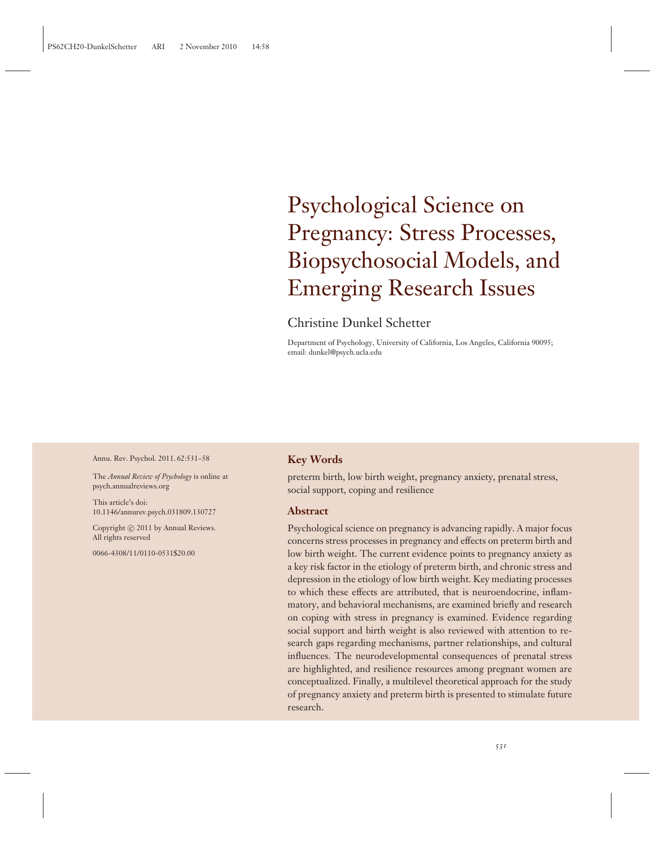# Psychological Science on Pregnancy: Stress Processes, Biopsychosocial Models, and Emerging Research Issues

## Christine Dunkel Schetter

Department of Psychology, University of California, Los Angeles, California 90095; email: dunkel@psych.ucla.edu

#### Annu. Rev. Psychol. 2011. 62:531–58

The *Annual Review of Psychology* is online at psych.annualreviews.org

This article's doi: 10.1146/annurev.psych.031809.130727

Copyright © 2011 by Annual Reviews. All rights reserved

0066-4308/11/0110-0531\$20.00

#### **Key Words**

preterm birth, low birth weight, pregnancy anxiety, prenatal stress, social support, coping and resilience

#### **Abstract**

Psychological science on pregnancy is advancing rapidly. A major focus concerns stress processes in pregnancy and effects on preterm birth and low birth weight. The current evidence points to pregnancy anxiety as a key risk factor in the etiology of preterm birth, and chronic stress and depression in the etiology of low birth weight. Key mediating processes to which these effects are attributed, that is neuroendocrine, inflammatory, and behavioral mechanisms, are examined briefly and research on coping with stress in pregnancy is examined. Evidence regarding social support and birth weight is also reviewed with attention to research gaps regarding mechanisms, partner relationships, and cultural influences. The neurodevelopmental consequences of prenatal stress are highlighted, and resilience resources among pregnant women are conceptualized. Finally, a multilevel theoretical approach for the study of pregnancy anxiety and preterm birth is presented to stimulate future research.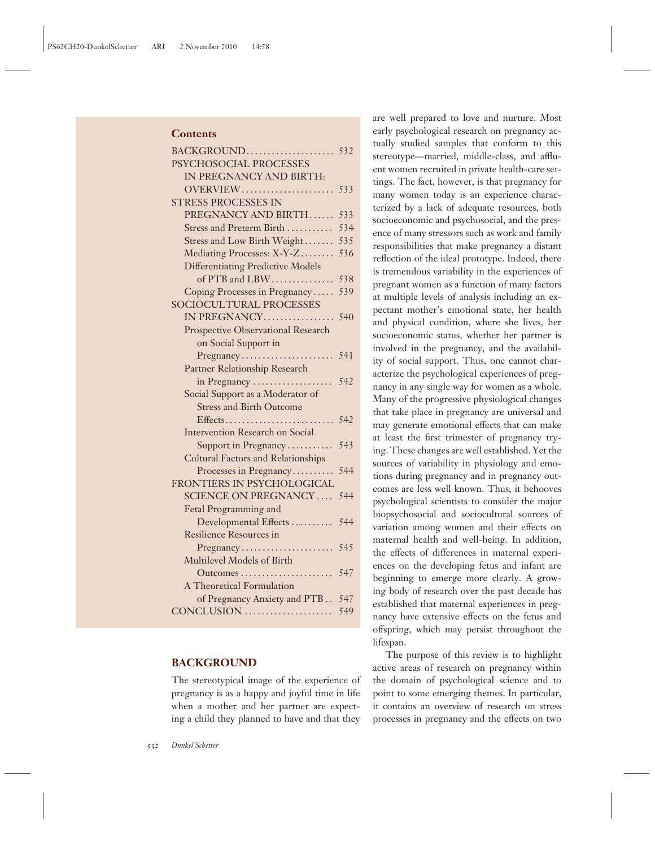## **Contents**

| 533                              |
|----------------------------------|
| 534                              |
| 535                              |
| 536                              |
|                                  |
| 538                              |
| 539                              |
|                                  |
| 540                              |
|                                  |
|                                  |
| 541                              |
|                                  |
| 542                              |
|                                  |
|                                  |
| 542<br>.                         |
|                                  |
| 543                              |
|                                  |
| 544                              |
|                                  |
| 544                              |
|                                  |
| 544                              |
|                                  |
| 545                              |
|                                  |
| 547                              |
|                                  |
| of Pregnancy Anxiety and PTB 547 |
| 549                              |
|                                  |

#### **BACKGROUND**

The stereotypical image of the experience of pregnancy is as a happy and joyful time in life when a mother and her partner are expecting a child they planned to have and that they

*532 Dunkel Schetter*

are well prepared to love and nurture. Most early psychological research on pregnancy actually studied samples that conform to this stereotype—married, middle-class, and affluent women recruited in private health-care settings. The fact, however, is that pregnancy for many women today is an experience characterized by a lack of adequate resources, both socioeconomic and psychosocial, and the presence of many stressors such as work and family responsibilities that make pregnancy a distant reflection of the ideal prototype. Indeed, there is tremendous variability in the experiences of pregnant women as a function of many factors at multiple levels of analysis including an expectant mother's emotional state, her health and physical condition, where she lives, her socioeconomic status, whether her partner is involved in the pregnancy, and the availability of social support. Thus, one cannot characterize the psychological experiences of pregnancy in any single way for women as a whole. Many of the progressive physiological changes that take place in pregnancy are universal and may generate emotional effects that can make at least the first trimester of pregnancy trying. These changes are well established. Yet the sources of variability in physiology and emotions during pregnancy and in pregnancy outcomes are less well known. Thus, it behooves psychological scientists to consider the major biopsychosocial and sociocultural sources of variation among women and their effects on maternal health and well-being. In addition, the effects of differences in maternal experiences on the developing fetus and infant are beginning to emerge more clearly. A growing body of research over the past decade has established that maternal experiences in pregnancy have extensive effects on the fetus and offspring, which may persist throughout the lifespan.

The purpose of this review is to highlight active areas of research on pregnancy within the domain of psychological science and to point to some emerging themes. In particular, it contains an overview of research on stress processes in pregnancy and the effects on two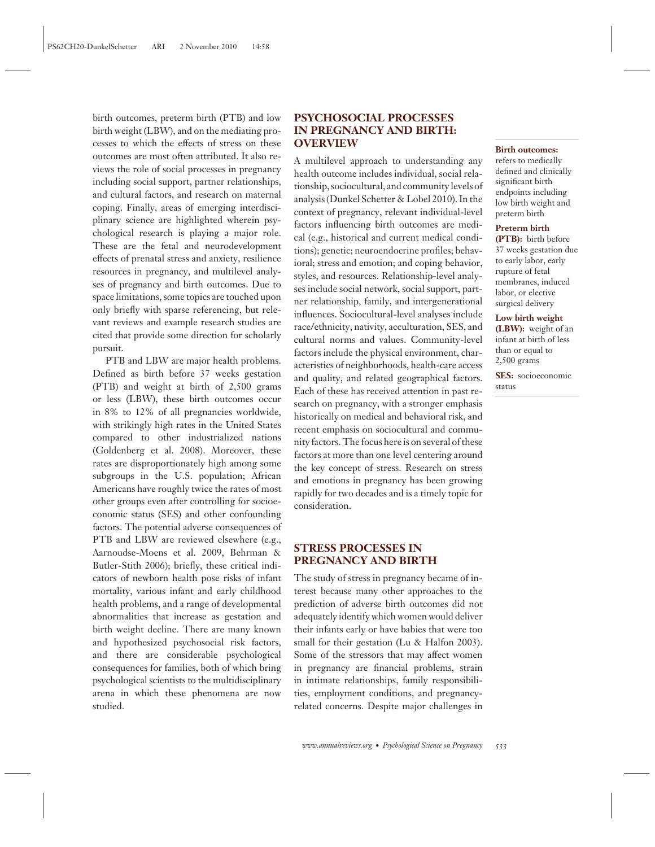birth outcomes, preterm birth (PTB) and low birth weight (LBW), and on the mediating processes to which the effects of stress on these outcomes are most often attributed. It also reviews the role of social processes in pregnancy including social support, partner relationships, and cultural factors, and research on maternal coping. Finally, areas of emerging interdisciplinary science are highlighted wherein psychological research is playing a major role. These are the fetal and neurodevelopment effects of prenatal stress and anxiety, resilience resources in pregnancy, and multilevel analyses of pregnancy and birth outcomes. Due to space limitations, some topics are touched upon only briefly with sparse referencing, but relevant reviews and example research studies are cited that provide some direction for scholarly pursuit.

PTB and LBW are major health problems. Defined as birth before 37 weeks gestation (PTB) and weight at birth of 2,500 grams or less (LBW), these birth outcomes occur in 8% to 12% of all pregnancies worldwide, with strikingly high rates in the United States compared to other industrialized nations (Goldenberg et al. 2008). Moreover, these rates are disproportionately high among some subgroups in the U.S. population; African Americans have roughly twice the rates of most other groups even after controlling for socioeconomic status (SES) and other confounding factors. The potential adverse consequences of PTB and LBW are reviewed elsewhere (e.g., Aarnoudse-Moens et al. 2009, Behrman & Butler-Stith 2006); briefly, these critical indicators of newborn health pose risks of infant mortality, various infant and early childhood health problems, and a range of developmental abnormalities that increase as gestation and birth weight decline. There are many known and hypothesized psychosocial risk factors, and there are considerable psychological consequences for families, both of which bring psychological scientists to the multidisciplinary arena in which these phenomena are now studied.

## **PSYCHOSOCIAL PROCESSES IN PREGNANCY AND BIRTH: OVERVIEW**

A multilevel approach to understanding any health outcome includes individual, social relationship, sociocultural, and community levels of analysis (Dunkel Schetter & Lobel 2010). In the context of pregnancy, relevant individual-level factors influencing birth outcomes are medical (e.g., historical and current medical conditions); genetic; neuroendocrine profiles; behavioral; stress and emotion; and coping behavior, styles, and resources. Relationship-level analyses include social network, social support, partner relationship, family, and intergenerational influences. Sociocultural-level analyses include race/ethnicity, nativity, acculturation, SES, and cultural norms and values. Community-level factors include the physical environment, characteristics of neighborhoods, health-care access and quality, and related geographical factors. Each of these has received attention in past research on pregnancy, with a stronger emphasis historically on medical and behavioral risk, and recent emphasis on sociocultural and community factors. The focus here is on several of these factors at more than one level centering around the key concept of stress. Research on stress and emotions in pregnancy has been growing rapidly for two decades and is a timely topic for consideration.

## **STRESS PROCESSES IN PREGNANCY AND BIRTH**

The study of stress in pregnancy became of interest because many other approaches to the prediction of adverse birth outcomes did not adequately identify which women would deliver their infants early or have babies that were too small for their gestation (Lu & Halfon 2003). Some of the stressors that may affect women in pregnancy are financial problems, strain in intimate relationships, family responsibilities, employment conditions, and pregnancyrelated concerns. Despite major challenges in

## **Birth outcomes:**

refers to medically defined and clinically significant birth endpoints including low birth weight and preterm birth

#### **Preterm birth**

**(PTB):** birth before 37 weeks gestation due to early labor, early rupture of fetal membranes, induced labor, or elective surgical delivery

**Low birth weight (LBW):** weight of an infant at birth of less than or equal to 2,500 grams

**SES:** socioeconomic status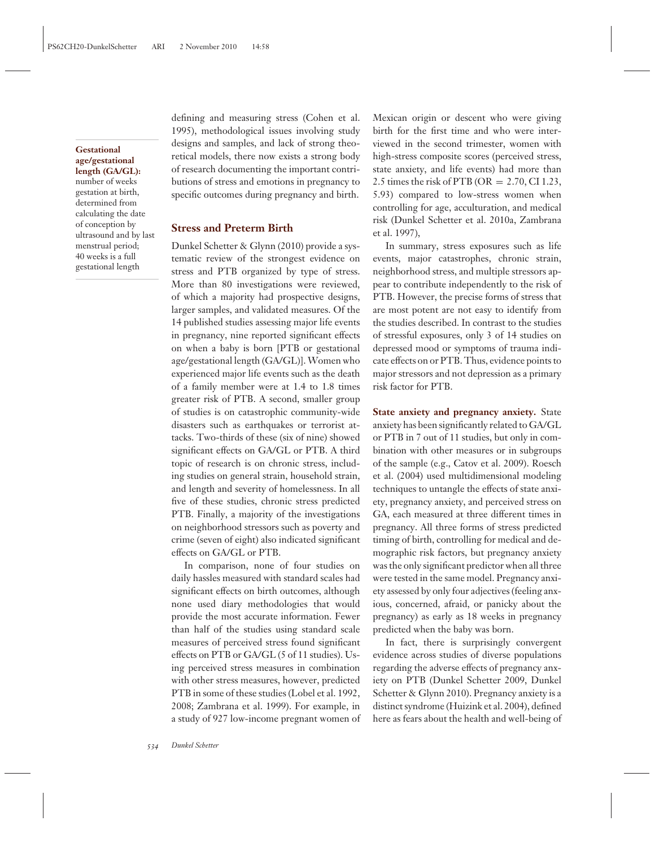**Gestational age/gestational length (GA/GL):**

number of weeks gestation at birth, determined from calculating the date of conception by ultrasound and by last menstrual period; 40 weeks is a full gestational length

defining and measuring stress (Cohen et al. 1995), methodological issues involving study designs and samples, and lack of strong theoretical models, there now exists a strong body of research documenting the important contributions of stress and emotions in pregnancy to specific outcomes during pregnancy and birth.

#### **Stress and Preterm Birth**

Dunkel Schetter & Glynn (2010) provide a systematic review of the strongest evidence on stress and PTB organized by type of stress. More than 80 investigations were reviewed, of which a majority had prospective designs, larger samples, and validated measures. Of the 14 published studies assessing major life events in pregnancy, nine reported significant effects on when a baby is born [PTB or gestational age/gestational length (GA/GL)]. Women who experienced major life events such as the death of a family member were at 1.4 to 1.8 times greater risk of PTB. A second, smaller group of studies is on catastrophic community-wide disasters such as earthquakes or terrorist attacks. Two-thirds of these (six of nine) showed significant effects on GA/GL or PTB. A third topic of research is on chronic stress, including studies on general strain, household strain, and length and severity of homelessness. In all five of these studies, chronic stress predicted PTB. Finally, a majority of the investigations on neighborhood stressors such as poverty and crime (seven of eight) also indicated significant effects on GA/GL or PTB.

In comparison, none of four studies on daily hassles measured with standard scales had significant effects on birth outcomes, although none used diary methodologies that would provide the most accurate information. Fewer than half of the studies using standard scale measures of perceived stress found significant effects on PTB or GA/GL (5 of 11 studies). Using perceived stress measures in combination with other stress measures, however, predicted PTB in some of these studies (Lobel et al. 1992, 2008; Zambrana et al. 1999). For example, in a study of 927 low-income pregnant women of Mexican origin or descent who were giving birth for the first time and who were interviewed in the second trimester, women with high-stress composite scores (perceived stress, state anxiety, and life events) had more than 2.5 times the risk of PTB (OR =  $2.70$ , CI 1.23, 5.93) compared to low-stress women when controlling for age, acculturation, and medical risk (Dunkel Schetter et al. 2010a, Zambrana et al. 1997),

In summary, stress exposures such as life events, major catastrophes, chronic strain, neighborhood stress, and multiple stressors appear to contribute independently to the risk of PTB. However, the precise forms of stress that are most potent are not easy to identify from the studies described. In contrast to the studies of stressful exposures, only 3 of 14 studies on depressed mood or symptoms of trauma indicate effects on or PTB. Thus, evidence points to major stressors and not depression as a primary risk factor for PTB.

**State anxiety and pregnancy anxiety.** State anxiety has been significantly related to GA/GL or PTB in 7 out of 11 studies, but only in combination with other measures or in subgroups of the sample (e.g., Catov et al. 2009). Roesch et al. (2004) used multidimensional modeling techniques to untangle the effects of state anxiety, pregnancy anxiety, and perceived stress on GA, each measured at three different times in pregnancy. All three forms of stress predicted timing of birth, controlling for medical and demographic risk factors, but pregnancy anxiety was the only significant predictor when all three were tested in the same model. Pregnancy anxiety assessed by only four adjectives (feeling anxious, concerned, afraid, or panicky about the pregnancy) as early as 18 weeks in pregnancy predicted when the baby was born.

In fact, there is surprisingly convergent evidence across studies of diverse populations regarding the adverse effects of pregnancy anxiety on PTB (Dunkel Schetter 2009, Dunkel Schetter & Glynn 2010). Pregnancy anxiety is a distinct syndrome (Huizink et al. 2004), defined here as fears about the health and well-being of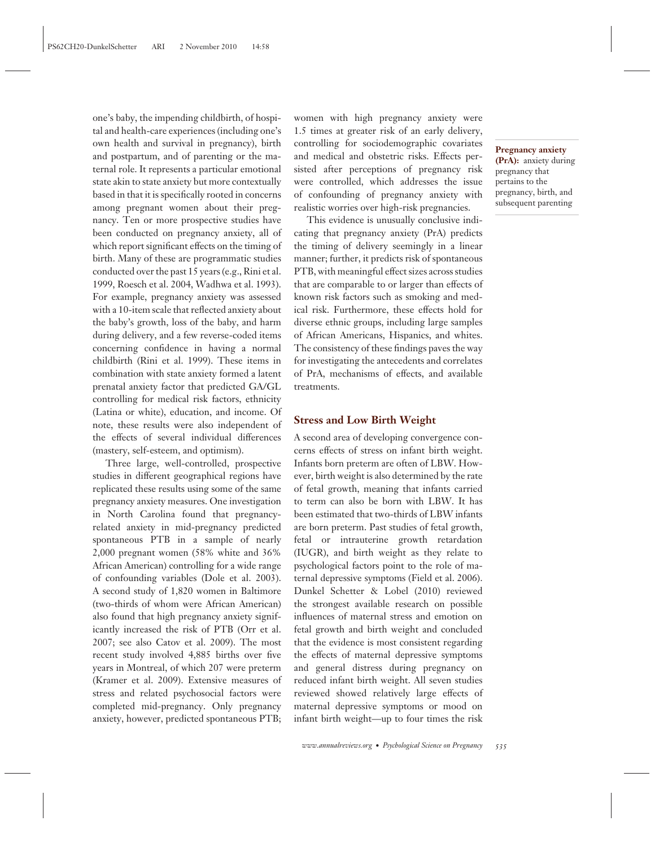one's baby, the impending childbirth, of hospital and health-care experiences (including one's own health and survival in pregnancy), birth and postpartum, and of parenting or the maternal role. It represents a particular emotional state akin to state anxiety but more contextually based in that it is specifically rooted in concerns among pregnant women about their pregnancy. Ten or more prospective studies have been conducted on pregnancy anxiety, all of which report significant effects on the timing of birth. Many of these are programmatic studies conducted over the past 15 years (e.g., Rini et al. 1999, Roesch et al. 2004, Wadhwa et al. 1993). For example, pregnancy anxiety was assessed with a 10-item scale that reflected anxiety about the baby's growth, loss of the baby, and harm during delivery, and a few reverse-coded items concerning confidence in having a normal childbirth (Rini et al. 1999). These items in combination with state anxiety formed a latent prenatal anxiety factor that predicted GA/GL controlling for medical risk factors, ethnicity (Latina or white), education, and income. Of note, these results were also independent of the effects of several individual differences (mastery, self-esteem, and optimism).

Three large, well-controlled, prospective studies in different geographical regions have replicated these results using some of the same pregnancy anxiety measures. One investigation in North Carolina found that pregnancyrelated anxiety in mid-pregnancy predicted spontaneous PTB in a sample of nearly 2,000 pregnant women (58% white and 36% African American) controlling for a wide range of confounding variables (Dole et al. 2003). A second study of 1,820 women in Baltimore (two-thirds of whom were African American) also found that high pregnancy anxiety significantly increased the risk of PTB (Orr et al. 2007; see also Catov et al. 2009). The most recent study involved 4,885 births over five years in Montreal, of which 207 were preterm (Kramer et al. 2009). Extensive measures of stress and related psychosocial factors were completed mid-pregnancy. Only pregnancy anxiety, however, predicted spontaneous PTB;

women with high pregnancy anxiety were 1.5 times at greater risk of an early delivery, controlling for sociodemographic covariates and medical and obstetric risks. Effects persisted after perceptions of pregnancy risk were controlled, which addresses the issue of confounding of pregnancy anxiety with realistic worries over high-risk pregnancies.

This evidence is unusually conclusive indicating that pregnancy anxiety (PrA) predicts the timing of delivery seemingly in a linear manner; further, it predicts risk of spontaneous PTB, with meaningful effect sizes across studies that are comparable to or larger than effects of known risk factors such as smoking and medical risk. Furthermore, these effects hold for diverse ethnic groups, including large samples of African Americans, Hispanics, and whites. The consistency of these findings paves the way for investigating the antecedents and correlates of PrA, mechanisms of effects, and available treatments.

#### **Stress and Low Birth Weight**

A second area of developing convergence concerns effects of stress on infant birth weight. Infants born preterm are often of LBW. However, birth weight is also determined by the rate of fetal growth, meaning that infants carried to term can also be born with LBW. It has been estimated that two-thirds of LBW infants are born preterm. Past studies of fetal growth, fetal or intrauterine growth retardation (IUGR), and birth weight as they relate to psychological factors point to the role of maternal depressive symptoms (Field et al. 2006). Dunkel Schetter & Lobel (2010) reviewed the strongest available research on possible influences of maternal stress and emotion on fetal growth and birth weight and concluded that the evidence is most consistent regarding the effects of maternal depressive symptoms and general distress during pregnancy on reduced infant birth weight. All seven studies reviewed showed relatively large effects of maternal depressive symptoms or mood on infant birth weight—up to four times the risk

**Pregnancy anxiety (PrA):** anxiety during pregnancy that pertains to the pregnancy, birth, and subsequent parenting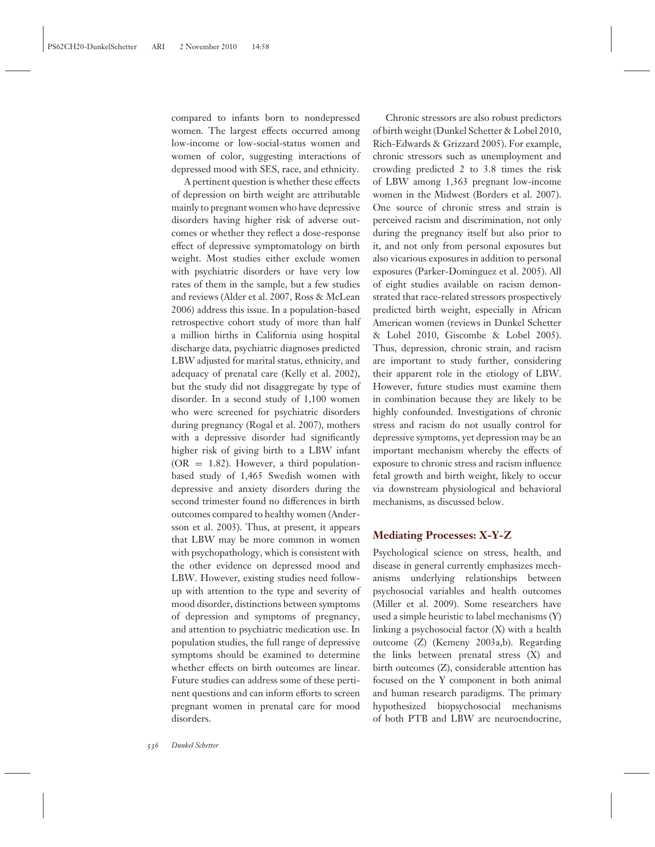compared to infants born to nondepressed women. The largest effects occurred among low-income or low-social-status women and women of color, suggesting interactions of depressed mood with SES, race, and ethnicity.

A pertinent question is whether these effects of depression on birth weight are attributable mainly to pregnant women who have depressive disorders having higher risk of adverse outcomes or whether they reflect a dose-response effect of depressive symptomatology on birth weight. Most studies either exclude women with psychiatric disorders or have very low rates of them in the sample, but a few studies and reviews (Alder et al. 2007, Ross & McLean 2006) address this issue. In a population-based retrospective cohort study of more than half a million births in California using hospital discharge data, psychiatric diagnoses predicted LBW adjusted for marital status, ethnicity, and adequacy of prenatal care (Kelly et al. 2002), but the study did not disaggregate by type of disorder. In a second study of 1,100 women who were screened for psychiatric disorders during pregnancy (Rogal et al. 2007), mothers with a depressive disorder had significantly higher risk of giving birth to a LBW infant  $(OR = 1.82)$ . However, a third populationbased study of 1,465 Swedish women with depressive and anxiety disorders during the second trimester found no differences in birth outcomes compared to healthy women (Andersson et al. 2003). Thus, at present, it appears that LBW may be more common in women with psychopathology, which is consistent with the other evidence on depressed mood and LBW. However, existing studies need followup with attention to the type and severity of mood disorder, distinctions between symptoms of depression and symptoms of pregnancy, and attention to psychiatric medication use. In population studies, the full range of depressive symptoms should be examined to determine whether effects on birth outcomes are linear. Future studies can address some of these pertinent questions and can inform efforts to screen pregnant women in prenatal care for mood disorders.

Chronic stressors are also robust predictors of birth weight (Dunkel Schetter & Lobel 2010, Rich-Edwards & Grizzard 2005). For example, chronic stressors such as unemployment and crowding predicted 2 to 3.8 times the risk of LBW among 1,363 pregnant low-income women in the Midwest (Borders et al. 2007). One source of chronic stress and strain is perceived racism and discrimination, not only during the pregnancy itself but also prior to it, and not only from personal exposures but also vicarious exposures in addition to personal exposures (Parker-Dominguez et al. 2005). All of eight studies available on racism demonstrated that race-related stressors prospectively predicted birth weight, especially in African American women (reviews in Dunkel Schetter & Lobel 2010, Giscombe & Lobel 2005). Thus, depression, chronic strain, and racism are important to study further, considering their apparent role in the etiology of LBW. However, future studies must examine them in combination because they are likely to be highly confounded. Investigations of chronic stress and racism do not usually control for depressive symptoms, yet depression may be an important mechanism whereby the effects of exposure to chronic stress and racism influence fetal growth and birth weight, likely to occur via downstream physiological and behavioral mechanisms, as discussed below.

## **Mediating Processes: X-Y-Z**

Psychological science on stress, health, and disease in general currently emphasizes mechanisms underlying relationships between psychosocial variables and health outcomes (Miller et al. 2009). Some researchers have used a simple heuristic to label mechanisms (Y) linking a psychosocial factor (X) with a health outcome (Z) (Kemeny 2003a,b). Regarding the links between prenatal stress (X) and birth outcomes (Z), considerable attention has focused on the Y component in both animal and human research paradigms. The primary hypothesized biopsychosocial mechanisms of both PTB and LBW are neuroendocrine,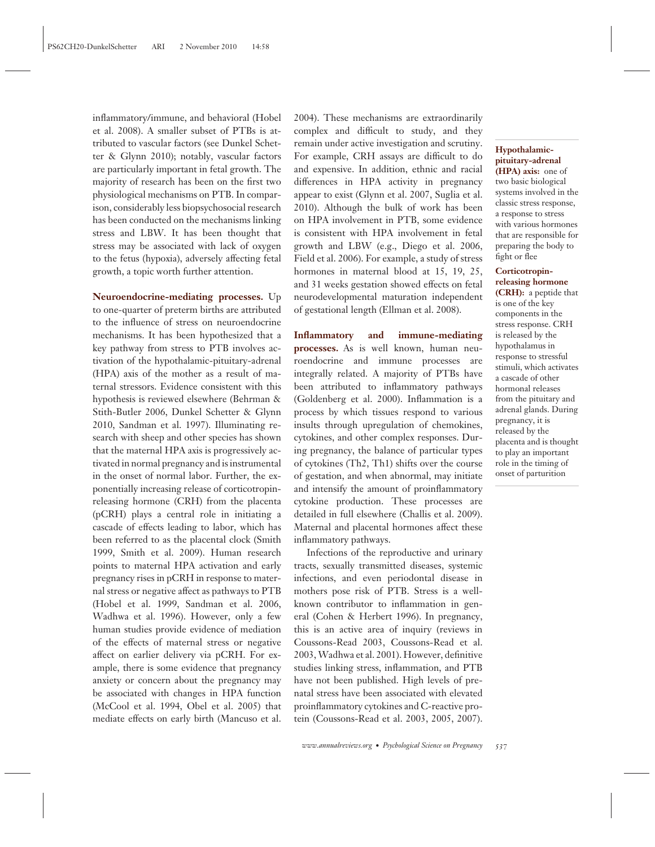inflammatory/immune, and behavioral (Hobel et al. 2008). A smaller subset of PTBs is attributed to vascular factors (see Dunkel Schetter & Glynn 2010); notably, vascular factors are particularly important in fetal growth. The majority of research has been on the first two physiological mechanisms on PTB. In comparison, considerably less biopsychosocial research has been conducted on the mechanisms linking stress and LBW. It has been thought that stress may be associated with lack of oxygen to the fetus (hypoxia), adversely affecting fetal growth, a topic worth further attention.

**Neuroendocrine-mediating processes.** Up to one-quarter of preterm births are attributed to the influence of stress on neuroendocrine mechanisms. It has been hypothesized that a key pathway from stress to PTB involves activation of the hypothalamic-pituitary-adrenal (HPA) axis of the mother as a result of maternal stressors. Evidence consistent with this hypothesis is reviewed elsewhere (Behrman & Stith-Butler 2006, Dunkel Schetter & Glynn 2010, Sandman et al. 1997). Illuminating research with sheep and other species has shown that the maternal HPA axis is progressively activated in normal pregnancy and is instrumental in the onset of normal labor. Further, the exponentially increasing release of corticotropinreleasing hormone (CRH) from the placenta (pCRH) plays a central role in initiating a cascade of effects leading to labor, which has been referred to as the placental clock (Smith 1999, Smith et al. 2009). Human research points to maternal HPA activation and early pregnancy rises in pCRH in response to maternal stress or negative affect as pathways to PTB (Hobel et al. 1999, Sandman et al. 2006, Wadhwa et al. 1996). However, only a few human studies provide evidence of mediation of the effects of maternal stress or negative affect on earlier delivery via pCRH. For example, there is some evidence that pregnancy anxiety or concern about the pregnancy may be associated with changes in HPA function (McCool et al. 1994, Obel et al. 2005) that mediate effects on early birth (Mancuso et al. 2004). These mechanisms are extraordinarily complex and difficult to study, and they remain under active investigation and scrutiny. For example, CRH assays are difficult to do and expensive. In addition, ethnic and racial differences in HPA activity in pregnancy appear to exist (Glynn et al. 2007, Suglia et al. 2010). Although the bulk of work has been on HPA involvement in PTB, some evidence is consistent with HPA involvement in fetal growth and LBW (e.g., Diego et al. 2006, Field et al. 2006). For example, a study of stress hormones in maternal blood at 15, 19, 25, and 31 weeks gestation showed effects on fetal neurodevelopmental maturation independent of gestational length (Ellman et al. 2008).

**Inflammatory and immune-mediating processes.** As is well known, human neuroendocrine and immune processes are integrally related. A majority of PTBs have been attributed to inflammatory pathways (Goldenberg et al. 2000). Inflammation is a process by which tissues respond to various insults through upregulation of chemokines, cytokines, and other complex responses. During pregnancy, the balance of particular types of cytokines (Th2, Th1) shifts over the course of gestation, and when abnormal, may initiate and intensify the amount of proinflammatory cytokine production. These processes are detailed in full elsewhere (Challis et al. 2009). Maternal and placental hormones affect these inflammatory pathways.

Infections of the reproductive and urinary tracts, sexually transmitted diseases, systemic infections, and even periodontal disease in mothers pose risk of PTB. Stress is a wellknown contributor to inflammation in general (Cohen & Herbert 1996). In pregnancy, this is an active area of inquiry (reviews in Coussons-Read 2003, Coussons-Read et al. 2003,Wadhwa et al. 2001). However, definitive studies linking stress, inflammation, and PTB have not been published. High levels of prenatal stress have been associated with elevated proinflammatory cytokines and C-reactive protein (Coussons-Read et al. 2003, 2005, 2007).

#### **Hypothalamicpituitary-adrenal (HPA) axis:** one of

two basic biological systems involved in the classic stress response, a response to stress with various hormones that are responsible for preparing the body to fight or flee

#### **Corticotropinreleasing hormone**

**(CRH):** a peptide that is one of the key components in the stress response. CRH is released by the hypothalamus in response to stressful stimuli, which activates a cascade of other hormonal releases from the pituitary and adrenal glands. During pregnancy, it is released by the placenta and is thought to play an important role in the timing of onset of parturition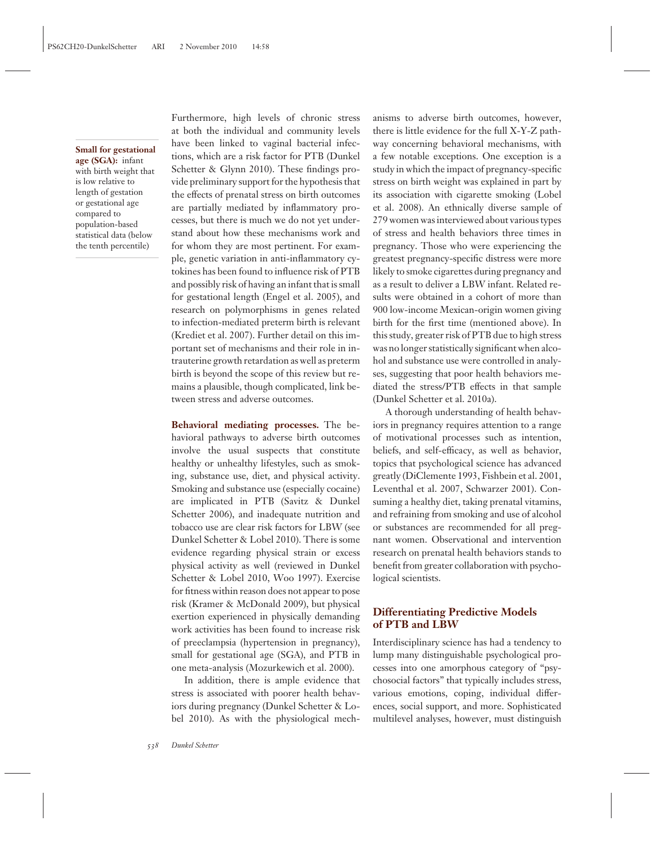**Small for gestational age (SGA):** infant with birth weight that is low relative to length of gestation or gestational age compared to population-based statistical data (below the tenth percentile)

Furthermore, high levels of chronic stress at both the individual and community levels have been linked to vaginal bacterial infections, which are a risk factor for PTB (Dunkel Schetter & Glynn 2010). These findings provide preliminary support for the hypothesis that the effects of prenatal stress on birth outcomes are partially mediated by inflammatory processes, but there is much we do not yet understand about how these mechanisms work and for whom they are most pertinent. For example, genetic variation in anti-inflammatory cytokines has been found to influence risk of PTB and possibly risk of having an infant that is small for gestational length (Engel et al. 2005), and research on polymorphisms in genes related to infection-mediated preterm birth is relevant (Krediet et al. 2007). Further detail on this important set of mechanisms and their role in intrauterine growth retardation as well as preterm birth is beyond the scope of this review but remains a plausible, though complicated, link between stress and adverse outcomes.

**Behavioral mediating processes.** The behavioral pathways to adverse birth outcomes involve the usual suspects that constitute healthy or unhealthy lifestyles, such as smoking, substance use, diet, and physical activity. Smoking and substance use (especially cocaine) are implicated in PTB (Savitz & Dunkel Schetter 2006), and inadequate nutrition and tobacco use are clear risk factors for LBW (see Dunkel Schetter & Lobel 2010). There is some evidence regarding physical strain or excess physical activity as well (reviewed in Dunkel Schetter & Lobel 2010, Woo 1997). Exercise for fitness within reason does not appear to pose risk (Kramer & McDonald 2009), but physical exertion experienced in physically demanding work activities has been found to increase risk of preeclampsia (hypertension in pregnancy), small for gestational age (SGA), and PTB in one meta-analysis (Mozurkewich et al. 2000).

In addition, there is ample evidence that stress is associated with poorer health behaviors during pregnancy (Dunkel Schetter & Lobel 2010). As with the physiological mech-

*538 Dunkel Schetter*

anisms to adverse birth outcomes, however, there is little evidence for the full X-Y-Z pathway concerning behavioral mechanisms, with a few notable exceptions. One exception is a study in which the impact of pregnancy-specific stress on birth weight was explained in part by its association with cigarette smoking (Lobel et al. 2008). An ethnically diverse sample of 279 women was interviewed about various types of stress and health behaviors three times in pregnancy. Those who were experiencing the greatest pregnancy-specific distress were more likely to smoke cigarettes during pregnancy and as a result to deliver a LBW infant. Related results were obtained in a cohort of more than 900 low-income Mexican-origin women giving birth for the first time (mentioned above). In this study, greater risk of PTB due to high stress was no longer statistically significant when alcohol and substance use were controlled in analyses, suggesting that poor health behaviors mediated the stress/PTB effects in that sample (Dunkel Schetter et al. 2010a).

A thorough understanding of health behaviors in pregnancy requires attention to a range of motivational processes such as intention, beliefs, and self-efficacy, as well as behavior, topics that psychological science has advanced greatly (DiClemente 1993, Fishbein et al. 2001, Leventhal et al. 2007, Schwarzer 2001). Consuming a healthy diet, taking prenatal vitamins, and refraining from smoking and use of alcohol or substances are recommended for all pregnant women. Observational and intervention research on prenatal health behaviors stands to benefit from greater collaboration with psychological scientists.

## **Differentiating Predictive Models of PTB and LBW**

Interdisciplinary science has had a tendency to lump many distinguishable psychological processes into one amorphous category of "psychosocial factors" that typically includes stress, various emotions, coping, individual differences, social support, and more. Sophisticated multilevel analyses, however, must distinguish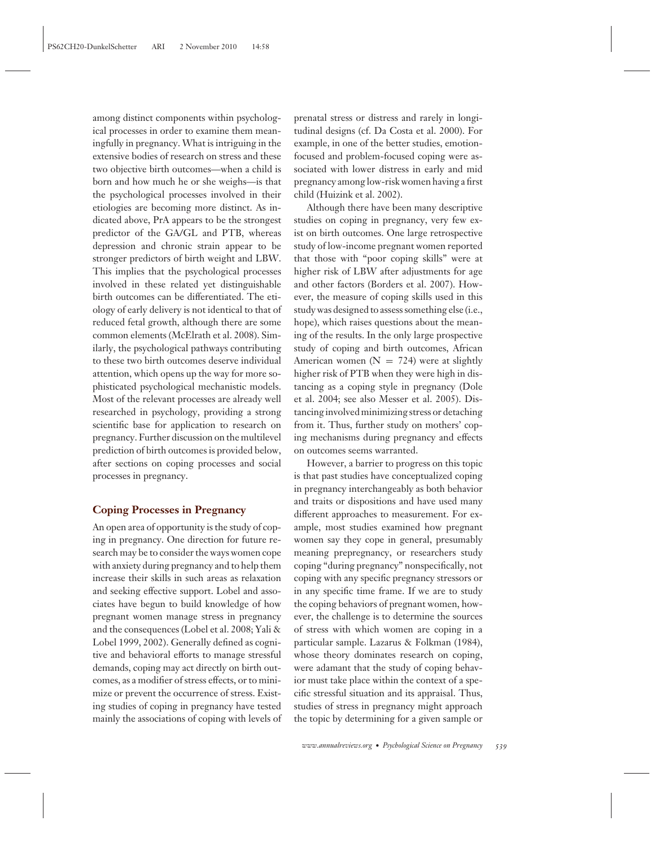among distinct components within psychological processes in order to examine them meaningfully in pregnancy. What is intriguing in the extensive bodies of research on stress and these two objective birth outcomes—when a child is born and how much he or she weighs—is that the psychological processes involved in their etiologies are becoming more distinct. As indicated above, PrA appears to be the strongest predictor of the GA/GL and PTB, whereas depression and chronic strain appear to be stronger predictors of birth weight and LBW. This implies that the psychological processes involved in these related yet distinguishable birth outcomes can be differentiated. The etiology of early delivery is not identical to that of reduced fetal growth, although there are some common elements (McElrath et al. 2008). Similarly, the psychological pathways contributing to these two birth outcomes deserve individual attention, which opens up the way for more sophisticated psychological mechanistic models. Most of the relevant processes are already well researched in psychology, providing a strong scientific base for application to research on pregnancy. Further discussion on the multilevel prediction of birth outcomes is provided below, after sections on coping processes and social processes in pregnancy.

#### **Coping Processes in Pregnancy**

An open area of opportunity is the study of coping in pregnancy. One direction for future research may be to consider the ways women cope with anxiety during pregnancy and to help them increase their skills in such areas as relaxation and seeking effective support. Lobel and associates have begun to build knowledge of how pregnant women manage stress in pregnancy and the consequences (Lobel et al. 2008; Yali & Lobel 1999, 2002). Generally defined as cognitive and behavioral efforts to manage stressful demands, coping may act directly on birth outcomes, as a modifier of stress effects, or to minimize or prevent the occurrence of stress. Existing studies of coping in pregnancy have tested mainly the associations of coping with levels of

prenatal stress or distress and rarely in longitudinal designs (cf. Da Costa et al. 2000). For example, in one of the better studies, emotionfocused and problem-focused coping were associated with lower distress in early and mid pregnancy among low-risk women having a first child (Huizink et al. 2002).

Although there have been many descriptive studies on coping in pregnancy, very few exist on birth outcomes. One large retrospective study of low-income pregnant women reported that those with "poor coping skills" were at higher risk of LBW after adjustments for age and other factors (Borders et al. 2007). However, the measure of coping skills used in this study was designed to assess something else (i.e., hope), which raises questions about the meaning of the results. In the only large prospective study of coping and birth outcomes, African American women ( $N = 724$ ) were at slightly higher risk of PTB when they were high in distancing as a coping style in pregnancy (Dole et al. 2004; see also Messer et al. 2005). Distancing involved minimizing stress or detaching from it. Thus, further study on mothers' coping mechanisms during pregnancy and effects on outcomes seems warranted.

However, a barrier to progress on this topic is that past studies have conceptualized coping in pregnancy interchangeably as both behavior and traits or dispositions and have used many different approaches to measurement. For example, most studies examined how pregnant women say they cope in general, presumably meaning prepregnancy, or researchers study coping "during pregnancy" nonspecifically, not coping with any specific pregnancy stressors or in any specific time frame. If we are to study the coping behaviors of pregnant women, however, the challenge is to determine the sources of stress with which women are coping in a particular sample. Lazarus & Folkman (1984), whose theory dominates research on coping, were adamant that the study of coping behavior must take place within the context of a specific stressful situation and its appraisal. Thus, studies of stress in pregnancy might approach the topic by determining for a given sample or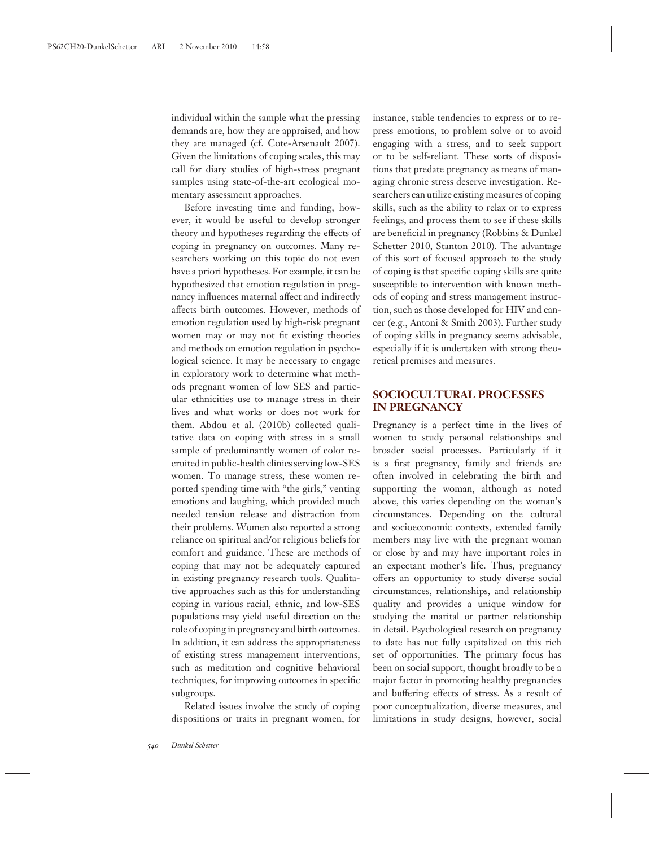individual within the sample what the pressing demands are, how they are appraised, and how they are managed (cf. Cote-Arsenault 2007). Given the limitations of coping scales, this may call for diary studies of high-stress pregnant samples using state-of-the-art ecological momentary assessment approaches.

Before investing time and funding, however, it would be useful to develop stronger theory and hypotheses regarding the effects of coping in pregnancy on outcomes. Many researchers working on this topic do not even have a priori hypotheses. For example, it can be hypothesized that emotion regulation in pregnancy influences maternal affect and indirectly affects birth outcomes. However, methods of emotion regulation used by high-risk pregnant women may or may not fit existing theories and methods on emotion regulation in psychological science. It may be necessary to engage in exploratory work to determine what methods pregnant women of low SES and particular ethnicities use to manage stress in their lives and what works or does not work for them. Abdou et al. (2010b) collected qualitative data on coping with stress in a small sample of predominantly women of color recruited in public-health clinics serving low-SES women. To manage stress, these women reported spending time with "the girls," venting emotions and laughing, which provided much needed tension release and distraction from their problems. Women also reported a strong reliance on spiritual and/or religious beliefs for comfort and guidance. These are methods of coping that may not be adequately captured in existing pregnancy research tools. Qualitative approaches such as this for understanding coping in various racial, ethnic, and low-SES populations may yield useful direction on the role of coping in pregnancy and birth outcomes. In addition, it can address the appropriateness of existing stress management interventions, such as meditation and cognitive behavioral techniques, for improving outcomes in specific subgroups.

Related issues involve the study of coping dispositions or traits in pregnant women, for instance, stable tendencies to express or to repress emotions, to problem solve or to avoid engaging with a stress, and to seek support or to be self-reliant. These sorts of dispositions that predate pregnancy as means of managing chronic stress deserve investigation. Researchers can utilize existing measures of coping skills, such as the ability to relax or to express feelings, and process them to see if these skills are beneficial in pregnancy (Robbins & Dunkel Schetter 2010, Stanton 2010). The advantage of this sort of focused approach to the study of coping is that specific coping skills are quite susceptible to intervention with known methods of coping and stress management instruction, such as those developed for HIV and cancer (e.g., Antoni & Smith 2003). Further study of coping skills in pregnancy seems advisable, especially if it is undertaken with strong theoretical premises and measures.

## **SOCIOCULTURAL PROCESSES IN PREGNANCY**

Pregnancy is a perfect time in the lives of women to study personal relationships and broader social processes. Particularly if it is a first pregnancy, family and friends are often involved in celebrating the birth and supporting the woman, although as noted above, this varies depending on the woman's circumstances. Depending on the cultural and socioeconomic contexts, extended family members may live with the pregnant woman or close by and may have important roles in an expectant mother's life. Thus, pregnancy offers an opportunity to study diverse social circumstances, relationships, and relationship quality and provides a unique window for studying the marital or partner relationship in detail. Psychological research on pregnancy to date has not fully capitalized on this rich set of opportunities. The primary focus has been on social support, thought broadly to be a major factor in promoting healthy pregnancies and buffering effects of stress. As a result of poor conceptualization, diverse measures, and limitations in study designs, however, social

*540 Dunkel Schetter*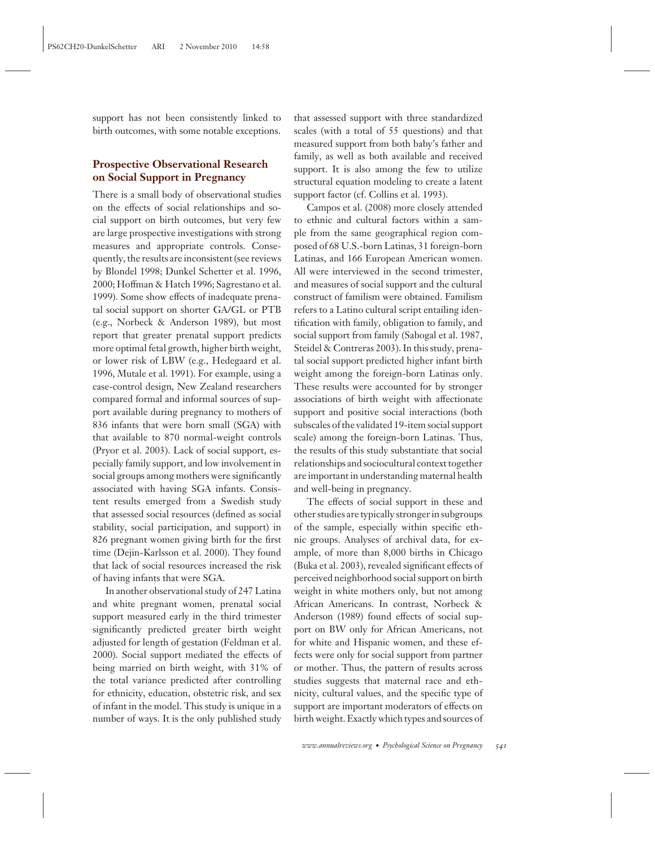support has not been consistently linked to birth outcomes, with some notable exceptions.

## **Prospective Observational Research on Social Support in Pregnancy**

There is a small body of observational studies on the effects of social relationships and social support on birth outcomes, but very few are large prospective investigations with strong measures and appropriate controls. Consequently, the results are inconsistent (see reviews by Blondel 1998; Dunkel Schetter et al. 1996, 2000; Hoffman & Hatch 1996; Sagrestano et al. 1999). Some show effects of inadequate prenatal social support on shorter GA/GL or PTB (e.g., Norbeck & Anderson 1989), but most report that greater prenatal support predicts more optimal fetal growth, higher birth weight, or lower risk of LBW (e.g., Hedegaard et al. 1996, Mutale et al. 1991). For example, using a case-control design, New Zealand researchers compared formal and informal sources of support available during pregnancy to mothers of 836 infants that were born small (SGA) with that available to 870 normal-weight controls (Pryor et al. 2003). Lack of social support, especially family support, and low involvement in social groups among mothers were significantly associated with having SGA infants. Consistent results emerged from a Swedish study that assessed social resources (defined as social stability, social participation, and support) in 826 pregnant women giving birth for the first time (Dejin-Karlsson et al. 2000). They found that lack of social resources increased the risk of having infants that were SGA.

In another observational study of 247 Latina and white pregnant women, prenatal social support measured early in the third trimester significantly predicted greater birth weight adjusted for length of gestation (Feldman et al. 2000). Social support mediated the effects of being married on birth weight, with 31% of the total variance predicted after controlling for ethnicity, education, obstetric risk, and sex of infant in the model. This study is unique in a number of ways. It is the only published study

that assessed support with three standardized scales (with a total of 55 questions) and that measured support from both baby's father and family, as well as both available and received support. It is also among the few to utilize structural equation modeling to create a latent support factor (cf. Collins et al. 1993).

Campos et al. (2008) more closely attended to ethnic and cultural factors within a sample from the same geographical region composed of 68 U.S.-born Latinas, 31 foreign-born Latinas, and 166 European American women. All were interviewed in the second trimester, and measures of social support and the cultural construct of familism were obtained. Familism refers to a Latino cultural script entailing identification with family, obligation to family, and social support from family (Sabogal et al. 1987, Steidel & Contreras 2003). In this study, prenatal social support predicted higher infant birth weight among the foreign-born Latinas only. These results were accounted for by stronger associations of birth weight with affectionate support and positive social interactions (both subscales of the validated 19-item social support scale) among the foreign-born Latinas. Thus, the results of this study substantiate that social relationships and sociocultural context together are important in understanding maternal health and well-being in pregnancy.

The effects of social support in these and other studies are typically stronger in subgroups of the sample, especially within specific ethnic groups. Analyses of archival data, for example, of more than 8,000 births in Chicago (Buka et al. 2003), revealed significant effects of perceived neighborhood social support on birth weight in white mothers only, but not among African Americans. In contrast, Norbeck & Anderson (1989) found effects of social support on BW only for African Americans, not for white and Hispanic women, and these effects were only for social support from partner or mother. Thus, the pattern of results across studies suggests that maternal race and ethnicity, cultural values, and the specific type of support are important moderators of effects on birth weight. Exactly which types and sources of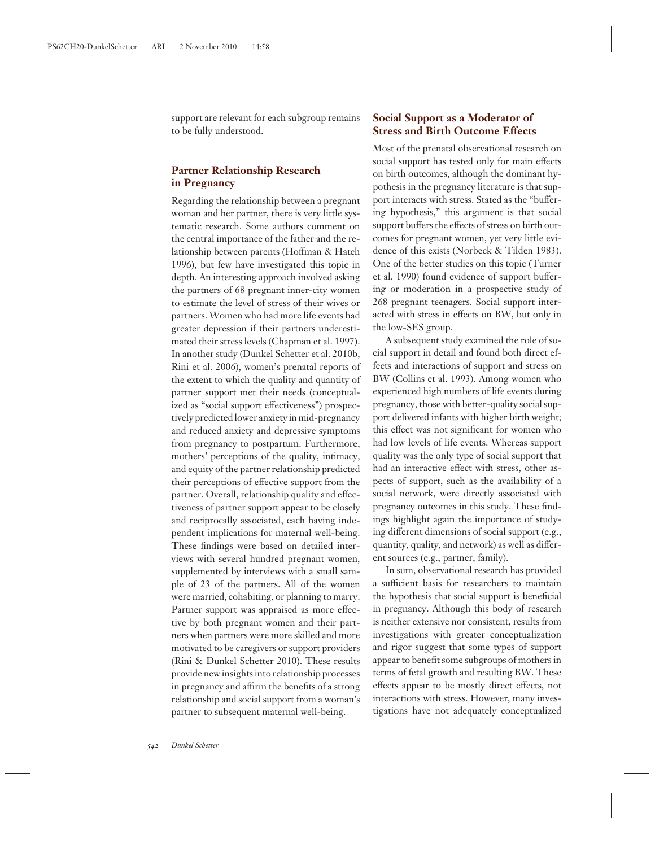support are relevant for each subgroup remains to be fully understood.

## **Partner Relationship Research in Pregnancy**

Regarding the relationship between a pregnant woman and her partner, there is very little systematic research. Some authors comment on the central importance of the father and the relationship between parents (Hoffman & Hatch 1996), but few have investigated this topic in depth. An interesting approach involved asking the partners of 68 pregnant inner-city women to estimate the level of stress of their wives or partners. Women who had more life events had greater depression if their partners underestimated their stress levels (Chapman et al. 1997). In another study (Dunkel Schetter et al. 2010b, Rini et al. 2006), women's prenatal reports of the extent to which the quality and quantity of partner support met their needs (conceptualized as "social support effectiveness") prospectively predicted lower anxiety in mid-pregnancy and reduced anxiety and depressive symptoms from pregnancy to postpartum. Furthermore, mothers' perceptions of the quality, intimacy, and equity of the partner relationship predicted their perceptions of effective support from the partner. Overall, relationship quality and effectiveness of partner support appear to be closely and reciprocally associated, each having independent implications for maternal well-being. These findings were based on detailed interviews with several hundred pregnant women, supplemented by interviews with a small sample of 23 of the partners. All of the women were married, cohabiting, or planning to marry. Partner support was appraised as more effective by both pregnant women and their partners when partners were more skilled and more motivated to be caregivers or support providers (Rini & Dunkel Schetter 2010). These results provide new insights into relationship processes in pregnancy and affirm the benefits of a strong relationship and social support from a woman's partner to subsequent maternal well-being.

## **Social Support as a Moderator of Stress and Birth Outcome Effects**

Most of the prenatal observational research on social support has tested only for main effects on birth outcomes, although the dominant hypothesis in the pregnancy literature is that support interacts with stress. Stated as the "buffering hypothesis," this argument is that social support buffers the effects of stress on birth outcomes for pregnant women, yet very little evidence of this exists (Norbeck & Tilden 1983). One of the better studies on this topic (Turner et al. 1990) found evidence of support buffering or moderation in a prospective study of 268 pregnant teenagers. Social support interacted with stress in effects on BW, but only in the low-SES group.

A subsequent study examined the role of social support in detail and found both direct effects and interactions of support and stress on BW (Collins et al. 1993). Among women who experienced high numbers of life events during pregnancy, those with better-quality social support delivered infants with higher birth weight; this effect was not significant for women who had low levels of life events. Whereas support quality was the only type of social support that had an interactive effect with stress, other aspects of support, such as the availability of a social network, were directly associated with pregnancy outcomes in this study. These findings highlight again the importance of studying different dimensions of social support (e.g., quantity, quality, and network) as well as different sources (e.g., partner, family).

In sum, observational research has provided a sufficient basis for researchers to maintain the hypothesis that social support is beneficial in pregnancy. Although this body of research is neither extensive nor consistent, results from investigations with greater conceptualization and rigor suggest that some types of support appear to benefit some subgroups of mothers in terms of fetal growth and resulting BW. These effects appear to be mostly direct effects, not interactions with stress. However, many investigations have not adequately conceptualized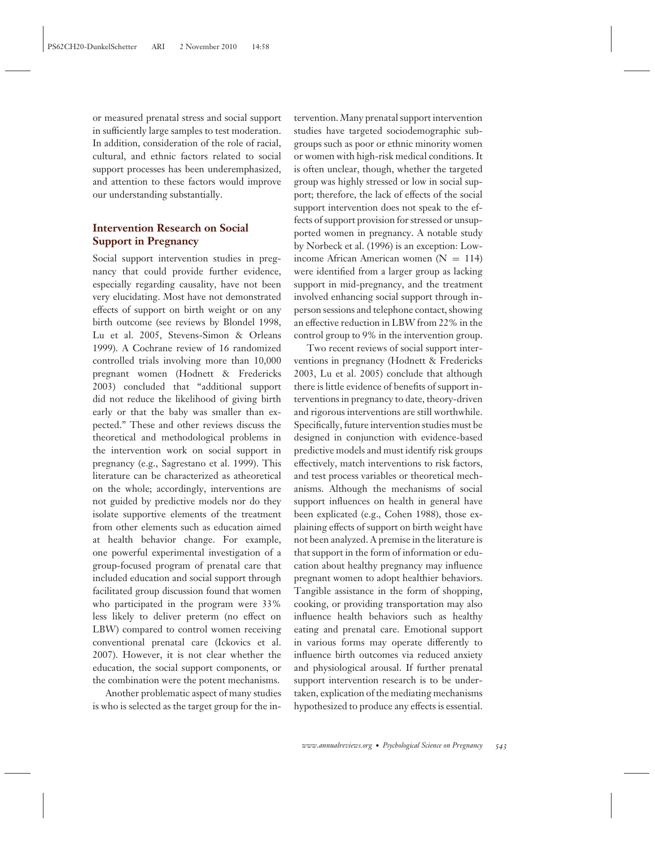or measured prenatal stress and social support in sufficiently large samples to test moderation. In addition, consideration of the role of racial, cultural, and ethnic factors related to social support processes has been underemphasized, and attention to these factors would improve our understanding substantially.

## **Intervention Research on Social Support in Pregnancy**

Social support intervention studies in pregnancy that could provide further evidence, especially regarding causality, have not been very elucidating. Most have not demonstrated effects of support on birth weight or on any birth outcome (see reviews by Blondel 1998, Lu et al. 2005, Stevens-Simon & Orleans 1999). A Cochrane review of 16 randomized controlled trials involving more than 10,000 pregnant women (Hodnett & Fredericks 2003) concluded that "additional support did not reduce the likelihood of giving birth early or that the baby was smaller than expected." These and other reviews discuss the theoretical and methodological problems in the intervention work on social support in pregnancy (e.g., Sagrestano et al. 1999). This literature can be characterized as atheoretical on the whole; accordingly, interventions are not guided by predictive models nor do they isolate supportive elements of the treatment from other elements such as education aimed at health behavior change. For example, one powerful experimental investigation of a group-focused program of prenatal care that included education and social support through facilitated group discussion found that women who participated in the program were 33% less likely to deliver preterm (no effect on LBW) compared to control women receiving conventional prenatal care (Ickovics et al. 2007). However, it is not clear whether the education, the social support components, or the combination were the potent mechanisms.

Another problematic aspect of many studies is who is selected as the target group for the intervention. Many prenatal support intervention studies have targeted sociodemographic subgroups such as poor or ethnic minority women or women with high-risk medical conditions. It is often unclear, though, whether the targeted group was highly stressed or low in social support; therefore, the lack of effects of the social support intervention does not speak to the effects of support provision for stressed or unsupported women in pregnancy. A notable study by Norbeck et al. (1996) is an exception: Lowincome African American women  $(N = 114)$ were identified from a larger group as lacking support in mid-pregnancy, and the treatment involved enhancing social support through inperson sessions and telephone contact, showing an effective reduction in LBW from 22% in the control group to 9% in the intervention group.

Two recent reviews of social support interventions in pregnancy (Hodnett & Fredericks 2003, Lu et al. 2005) conclude that although there is little evidence of benefits of support interventions in pregnancy to date, theory-driven and rigorous interventions are still worthwhile. Specifically, future intervention studies must be designed in conjunction with evidence-based predictive models and must identify risk groups effectively, match interventions to risk factors, and test process variables or theoretical mechanisms. Although the mechanisms of social support influences on health in general have been explicated (e.g., Cohen 1988), those explaining effects of support on birth weight have not been analyzed. A premise in the literature is that support in the form of information or education about healthy pregnancy may influence pregnant women to adopt healthier behaviors. Tangible assistance in the form of shopping, cooking, or providing transportation may also influence health behaviors such as healthy eating and prenatal care. Emotional support in various forms may operate differently to influence birth outcomes via reduced anxiety and physiological arousal. If further prenatal support intervention research is to be undertaken, explication of the mediating mechanisms hypothesized to produce any effects is essential.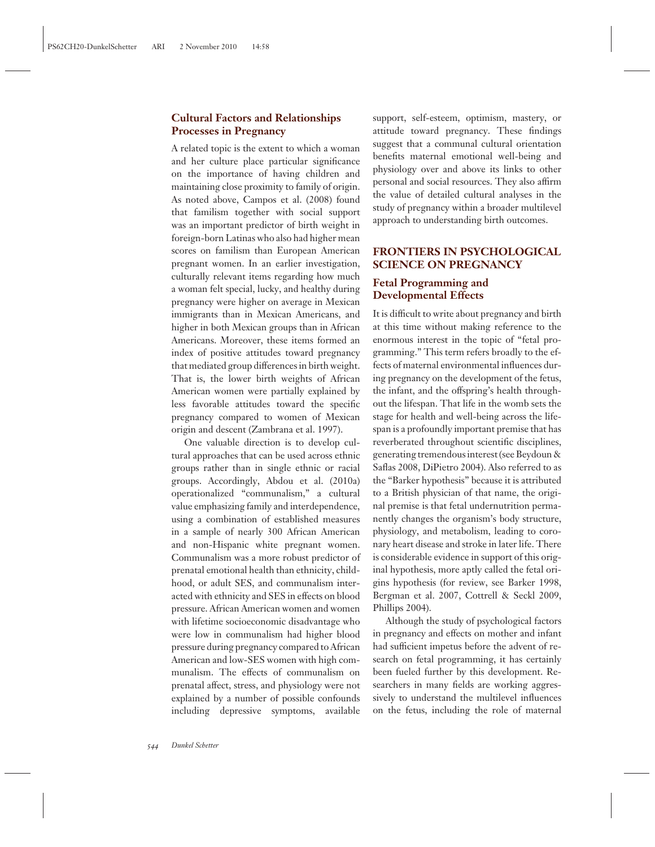## **Cultural Factors and Relationships Processes in Pregnancy**

A related topic is the extent to which a woman and her culture place particular significance on the importance of having children and maintaining close proximity to family of origin. As noted above, Campos et al. (2008) found that familism together with social support was an important predictor of birth weight in foreign-born Latinas who also had higher mean scores on familism than European American pregnant women. In an earlier investigation, culturally relevant items regarding how much a woman felt special, lucky, and healthy during pregnancy were higher on average in Mexican immigrants than in Mexican Americans, and higher in both Mexican groups than in African Americans. Moreover, these items formed an index of positive attitudes toward pregnancy that mediated group differences in birth weight. That is, the lower birth weights of African American women were partially explained by less favorable attitudes toward the specific pregnancy compared to women of Mexican origin and descent (Zambrana et al. 1997).

One valuable direction is to develop cultural approaches that can be used across ethnic groups rather than in single ethnic or racial groups. Accordingly, Abdou et al. (2010a) operationalized "communalism," a cultural value emphasizing family and interdependence, using a combination of established measures in a sample of nearly 300 African American and non-Hispanic white pregnant women. Communalism was a more robust predictor of prenatal emotional health than ethnicity, childhood, or adult SES, and communalism interacted with ethnicity and SES in effects on blood pressure. African American women and women with lifetime socioeconomic disadvantage who were low in communalism had higher blood pressure during pregnancy compared to African American and low-SES women with high communalism. The effects of communalism on prenatal affect, stress, and physiology were not explained by a number of possible confounds including depressive symptoms, available support, self-esteem, optimism, mastery, or attitude toward pregnancy. These findings suggest that a communal cultural orientation benefits maternal emotional well-being and physiology over and above its links to other personal and social resources. They also affirm the value of detailed cultural analyses in the study of pregnancy within a broader multilevel approach to understanding birth outcomes.

## **FRONTIERS IN PSYCHOLOGICAL SCIENCE ON PREGNANCY**

## **Fetal Programming and Developmental Effects**

It is difficult to write about pregnancy and birth at this time without making reference to the enormous interest in the topic of "fetal programming." This term refers broadly to the effects of maternal environmental influences during pregnancy on the development of the fetus, the infant, and the offspring's health throughout the lifespan. That life in the womb sets the stage for health and well-being across the lifespan is a profoundly important premise that has reverberated throughout scientific disciplines, generating tremendous interest (see Beydoun & Saflas 2008, DiPietro 2004). Also referred to as the "Barker hypothesis" because it is attributed to a British physician of that name, the original premise is that fetal undernutrition permanently changes the organism's body structure, physiology, and metabolism, leading to coronary heart disease and stroke in later life. There is considerable evidence in support of this original hypothesis, more aptly called the fetal origins hypothesis (for review, see Barker 1998, Bergman et al. 2007, Cottrell & Seckl 2009, Phillips 2004).

Although the study of psychological factors in pregnancy and effects on mother and infant had sufficient impetus before the advent of research on fetal programming, it has certainly been fueled further by this development. Researchers in many fields are working aggressively to understand the multilevel influences on the fetus, including the role of maternal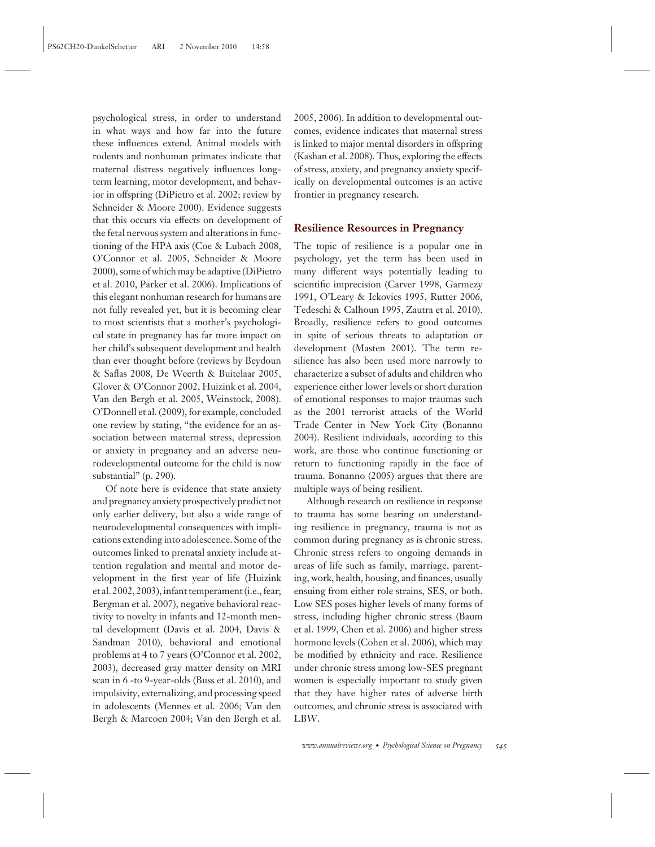psychological stress, in order to understand in what ways and how far into the future these influences extend. Animal models with rodents and nonhuman primates indicate that maternal distress negatively influences longterm learning, motor development, and behavior in offspring (DiPietro et al. 2002; review by Schneider & Moore 2000). Evidence suggests that this occurs via effects on development of the fetal nervous system and alterations in functioning of the HPA axis (Coe & Lubach 2008, O'Connor et al. 2005, Schneider & Moore 2000), some of which may be adaptive (DiPietro et al. 2010, Parker et al. 2006). Implications of this elegant nonhuman research for humans are not fully revealed yet, but it is becoming clear to most scientists that a mother's psychological state in pregnancy has far more impact on her child's subsequent development and health than ever thought before (reviews by Beydoun & Saflas 2008, De Weerth & Buitelaar 2005, Glover & O'Connor 2002, Huizink et al. 2004, Van den Bergh et al. 2005, Weinstock, 2008). O'Donnell et al. (2009), for example, concluded one review by stating, "the evidence for an association between maternal stress, depression or anxiety in pregnancy and an adverse neurodevelopmental outcome for the child is now substantial" (p. 290).

Of note here is evidence that state anxiety and pregnancy anxiety prospectively predict not only earlier delivery, but also a wide range of neurodevelopmental consequences with implications extending into adolescence. Some of the outcomes linked to prenatal anxiety include attention regulation and mental and motor development in the first year of life (Huizink et al. 2002, 2003), infant temperament (i.e., fear; Bergman et al. 2007), negative behavioral reactivity to novelty in infants and 12-month mental development (Davis et al. 2004, Davis & Sandman 2010), behavioral and emotional problems at 4 to 7 years (O'Connor et al. 2002, 2003), decreased gray matter density on MRI scan in 6 -to 9-year-olds (Buss et al. 2010), and impulsivity, externalizing, and processing speed in adolescents (Mennes et al. 2006; Van den Bergh & Marcoen 2004; Van den Bergh et al.

2005, 2006). In addition to developmental outcomes, evidence indicates that maternal stress is linked to major mental disorders in offspring (Kashan et al. 2008). Thus, exploring the effects of stress, anxiety, and pregnancy anxiety specifically on developmental outcomes is an active frontier in pregnancy research.

#### **Resilience Resources in Pregnancy**

The topic of resilience is a popular one in psychology, yet the term has been used in many different ways potentially leading to scientific imprecision (Carver 1998, Garmezy 1991, O'Leary & Ickovics 1995, Rutter 2006, Tedeschi & Calhoun 1995, Zautra et al. 2010). Broadly, resilience refers to good outcomes in spite of serious threats to adaptation or development (Masten 2001). The term resilience has also been used more narrowly to characterize a subset of adults and children who experience either lower levels or short duration of emotional responses to major traumas such as the 2001 terrorist attacks of the World Trade Center in New York City (Bonanno 2004). Resilient individuals, according to this work, are those who continue functioning or return to functioning rapidly in the face of trauma. Bonanno (2005) argues that there are multiple ways of being resilient.

Although research on resilience in response to trauma has some bearing on understanding resilience in pregnancy, trauma is not as common during pregnancy as is chronic stress. Chronic stress refers to ongoing demands in areas of life such as family, marriage, parenting, work, health, housing, and finances, usually ensuing from either role strains, SES, or both. Low SES poses higher levels of many forms of stress, including higher chronic stress (Baum et al. 1999, Chen et al. 2006) and higher stress hormone levels (Cohen et al. 2006), which may be modified by ethnicity and race. Resilience under chronic stress among low-SES pregnant women is especially important to study given that they have higher rates of adverse birth outcomes, and chronic stress is associated with LBW.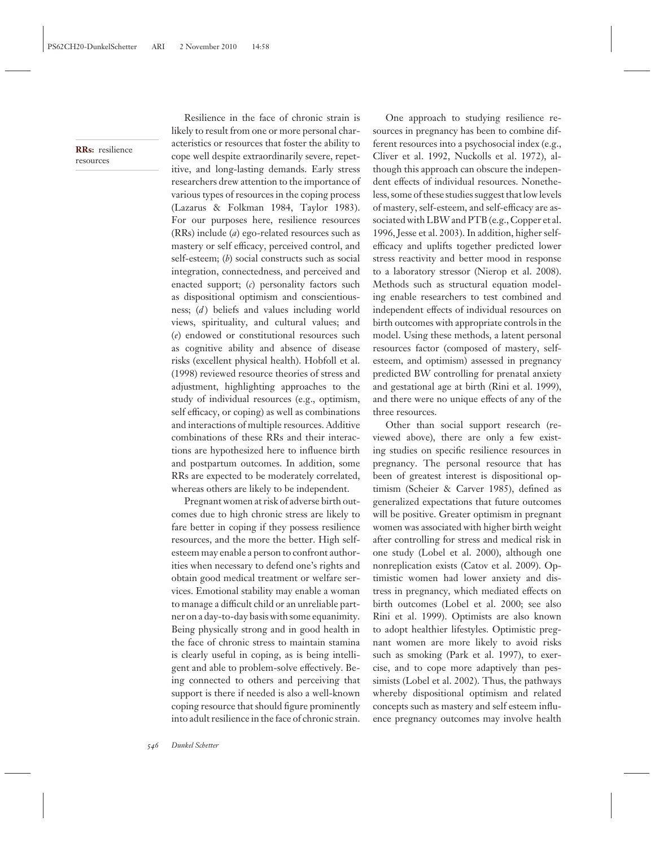**RRs:** resilience resources

Resilience in the face of chronic strain is likely to result from one or more personal characteristics or resources that foster the ability to cope well despite extraordinarily severe, repetitive, and long-lasting demands. Early stress researchers drew attention to the importance of various types of resources in the coping process (Lazarus & Folkman 1984, Taylor 1983). For our purposes here, resilience resources (RRs) include (*a*) ego-related resources such as mastery or self efficacy, perceived control, and self-esteem; (*b*) social constructs such as social integration, connectedness, and perceived and enacted support; (*c*) personality factors such as dispositional optimism and conscientiousness; (*d*) beliefs and values including world views, spirituality, and cultural values; and (*e*) endowed or constitutional resources such as cognitive ability and absence of disease risks (excellent physical health). Hobfoll et al. (1998) reviewed resource theories of stress and adjustment, highlighting approaches to the study of individual resources (e.g., optimism, self efficacy, or coping) as well as combinations and interactions of multiple resources. Additive combinations of these RRs and their interactions are hypothesized here to influence birth and postpartum outcomes. In addition, some RRs are expected to be moderately correlated, whereas others are likely to be independent.

Pregnant women at risk of adverse birth outcomes due to high chronic stress are likely to fare better in coping if they possess resilience resources, and the more the better. High selfesteem may enable a person to confront authorities when necessary to defend one's rights and obtain good medical treatment or welfare services. Emotional stability may enable a woman to manage a difficult child or an unreliable partner on a day-to-day basis with some equanimity. Being physically strong and in good health in the face of chronic stress to maintain stamina is clearly useful in coping, as is being intelligent and able to problem-solve effectively. Being connected to others and perceiving that support is there if needed is also a well-known coping resource that should figure prominently into adult resilience in the face of chronic strain.

One approach to studying resilience resources in pregnancy has been to combine different resources into a psychosocial index (e.g., Cliver et al. 1992, Nuckolls et al. 1972), although this approach can obscure the independent effects of individual resources. Nonetheless, some of these studies suggest that low levels of mastery, self-esteem, and self-efficacy are associated with LBW and PTB (e.g., Copper et al. 1996, Jesse et al. 2003). In addition, higher selfefficacy and uplifts together predicted lower stress reactivity and better mood in response to a laboratory stressor (Nierop et al. 2008). Methods such as structural equation modeling enable researchers to test combined and independent effects of individual resources on birth outcomes with appropriate controls in the model. Using these methods, a latent personal resources factor (composed of mastery, selfesteem, and optimism) assessed in pregnancy predicted BW controlling for prenatal anxiety and gestational age at birth (Rini et al. 1999), and there were no unique effects of any of the three resources.

Other than social support research (reviewed above), there are only a few existing studies on specific resilience resources in pregnancy. The personal resource that has been of greatest interest is dispositional optimism (Scheier & Carver 1985), defined as generalized expectations that future outcomes will be positive. Greater optimism in pregnant women was associated with higher birth weight after controlling for stress and medical risk in one study (Lobel et al. 2000), although one nonreplication exists (Catov et al. 2009). Optimistic women had lower anxiety and distress in pregnancy, which mediated effects on birth outcomes (Lobel et al. 2000; see also Rini et al. 1999). Optimists are also known to adopt healthier lifestyles. Optimistic pregnant women are more likely to avoid risks such as smoking (Park et al. 1997), to exercise, and to cope more adaptively than pessimists (Lobel et al. 2002). Thus, the pathways whereby dispositional optimism and related concepts such as mastery and self esteem influence pregnancy outcomes may involve health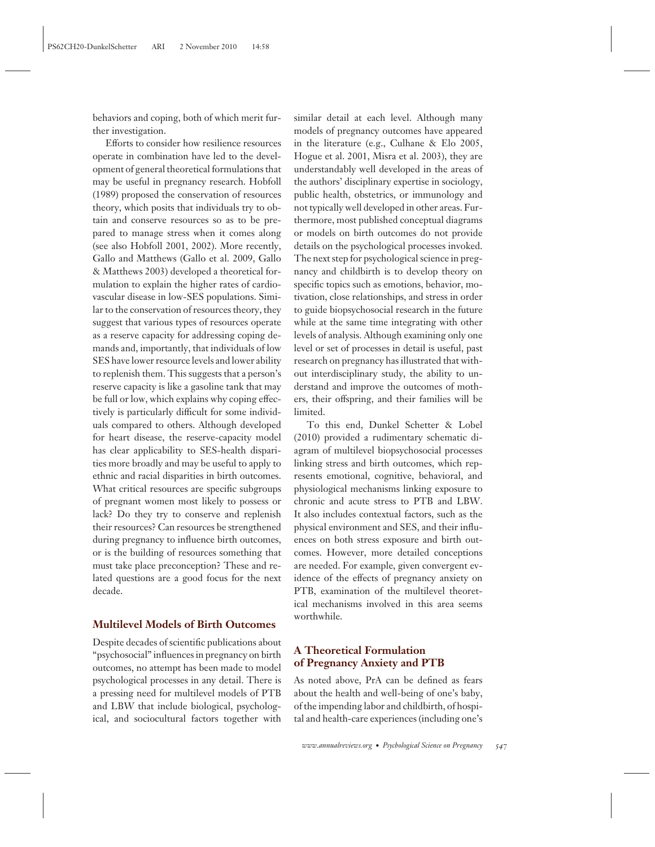behaviors and coping, both of which merit further investigation.

Efforts to consider how resilience resources operate in combination have led to the development of general theoretical formulations that may be useful in pregnancy research. Hobfoll (1989) proposed the conservation of resources theory, which posits that individuals try to obtain and conserve resources so as to be prepared to manage stress when it comes along (see also Hobfoll 2001, 2002). More recently, Gallo and Matthews (Gallo et al. 2009, Gallo & Matthews 2003) developed a theoretical formulation to explain the higher rates of cardiovascular disease in low-SES populations. Similar to the conservation of resources theory, they suggest that various types of resources operate as a reserve capacity for addressing coping demands and, importantly, that individuals of low SES have lower resource levels and lower ability to replenish them. This suggests that a person's reserve capacity is like a gasoline tank that may be full or low, which explains why coping effectively is particularly difficult for some individuals compared to others. Although developed for heart disease, the reserve-capacity model has clear applicability to SES-health disparities more broadly and may be useful to apply to ethnic and racial disparities in birth outcomes. What critical resources are specific subgroups of pregnant women most likely to possess or lack? Do they try to conserve and replenish their resources? Can resources be strengthened during pregnancy to influence birth outcomes, or is the building of resources something that must take place preconception? These and related questions are a good focus for the next decade.

#### **Multilevel Models of Birth Outcomes**

Despite decades of scientific publications about "psychosocial" influences in pregnancy on birth outcomes, no attempt has been made to model psychological processes in any detail. There is a pressing need for multilevel models of PTB and LBW that include biological, psychological, and sociocultural factors together with similar detail at each level. Although many models of pregnancy outcomes have appeared in the literature (e.g., Culhane & Elo 2005, Hogue et al. 2001, Misra et al. 2003), they are understandably well developed in the areas of the authors' disciplinary expertise in sociology, public health, obstetrics, or immunology and not typically well developed in other areas. Furthermore, most published conceptual diagrams or models on birth outcomes do not provide details on the psychological processes invoked. The next step for psychological science in pregnancy and childbirth is to develop theory on specific topics such as emotions, behavior, motivation, close relationships, and stress in order to guide biopsychosocial research in the future while at the same time integrating with other levels of analysis. Although examining only one level or set of processes in detail is useful, past research on pregnancy has illustrated that without interdisciplinary study, the ability to understand and improve the outcomes of mothers, their offspring, and their families will be limited.

To this end, Dunkel Schetter & Lobel (2010) provided a rudimentary schematic diagram of multilevel biopsychosocial processes linking stress and birth outcomes, which represents emotional, cognitive, behavioral, and physiological mechanisms linking exposure to chronic and acute stress to PTB and LBW. It also includes contextual factors, such as the physical environment and SES, and their influences on both stress exposure and birth outcomes. However, more detailed conceptions are needed. For example, given convergent evidence of the effects of pregnancy anxiety on PTB, examination of the multilevel theoretical mechanisms involved in this area seems worthwhile.

## **A Theoretical Formulation of Pregnancy Anxiety and PTB**

As noted above, PrA can be defined as fears about the health and well-being of one's baby, of the impending labor and childbirth, of hospital and health-care experiences (including one's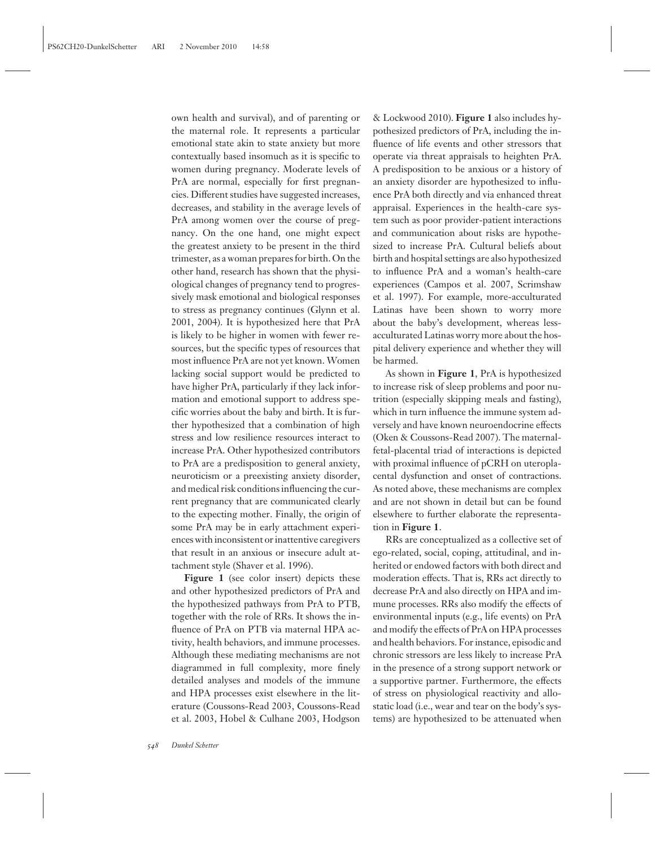own health and survival), and of parenting or the maternal role. It represents a particular emotional state akin to state anxiety but more contextually based insomuch as it is specific to women during pregnancy. Moderate levels of PrA are normal, especially for first pregnancies. Different studies have suggested increases, decreases, and stability in the average levels of PrA among women over the course of pregnancy. On the one hand, one might expect the greatest anxiety to be present in the third trimester, as a woman prepares for birth. On the other hand, research has shown that the physiological changes of pregnancy tend to progressively mask emotional and biological responses to stress as pregnancy continues (Glynn et al. 2001, 2004). It is hypothesized here that PrA is likely to be higher in women with fewer resources, but the specific types of resources that most influence PrA are not yet known. Women lacking social support would be predicted to have higher PrA, particularly if they lack information and emotional support to address specific worries about the baby and birth. It is further hypothesized that a combination of high stress and low resilience resources interact to increase PrA. Other hypothesized contributors to PrA are a predisposition to general anxiety, neuroticism or a preexisting anxiety disorder, and medical risk conditions influencing the current pregnancy that are communicated clearly to the expecting mother. Finally, the origin of some PrA may be in early attachment experiences with inconsistent or inattentive caregivers that result in an anxious or insecure adult attachment style (Shaver et al. 1996).

**Figure 1** (see color insert) depicts these and other hypothesized predictors of PrA and the hypothesized pathways from PrA to PTB, together with the role of RRs. It shows the influence of PrA on PTB via maternal HPA activity, health behaviors, and immune processes. Although these mediating mechanisms are not diagrammed in full complexity, more finely detailed analyses and models of the immune and HPA processes exist elsewhere in the literature (Coussons-Read 2003, Coussons-Read et al. 2003, Hobel & Culhane 2003, Hodgson

& Lockwood 2010). **Figure 1** also includes hypothesized predictors of PrA, including the influence of life events and other stressors that operate via threat appraisals to heighten PrA. A predisposition to be anxious or a history of an anxiety disorder are hypothesized to influence PrA both directly and via enhanced threat appraisal. Experiences in the health-care system such as poor provider-patient interactions and communication about risks are hypothesized to increase PrA. Cultural beliefs about birth and hospital settings are also hypothesized to influence PrA and a woman's health-care experiences (Campos et al. 2007, Scrimshaw et al. 1997). For example, more-acculturated Latinas have been shown to worry more about the baby's development, whereas lessacculturated Latinas worry more about the hospital delivery experience and whether they will be harmed.

As shown in **Figure 1**, PrA is hypothesized to increase risk of sleep problems and poor nutrition (especially skipping meals and fasting), which in turn influence the immune system adversely and have known neuroendocrine effects (Oken & Coussons-Read 2007). The maternalfetal-placental triad of interactions is depicted with proximal influence of pCRH on uteroplacental dysfunction and onset of contractions. As noted above, these mechanisms are complex and are not shown in detail but can be found elsewhere to further elaborate the representation in **Figure 1**.

RRs are conceptualized as a collective set of ego-related, social, coping, attitudinal, and inherited or endowed factors with both direct and moderation effects. That is, RRs act directly to decrease PrA and also directly on HPA and immune processes. RRs also modify the effects of environmental inputs (e.g., life events) on PrA and modify the effects of PrA on HPA processes and health behaviors. For instance, episodic and chronic stressors are less likely to increase PrA in the presence of a strong support network or a supportive partner. Furthermore, the effects of stress on physiological reactivity and allostatic load (i.e., wear and tear on the body's systems) are hypothesized to be attenuated when

*548 Dunkel Schetter*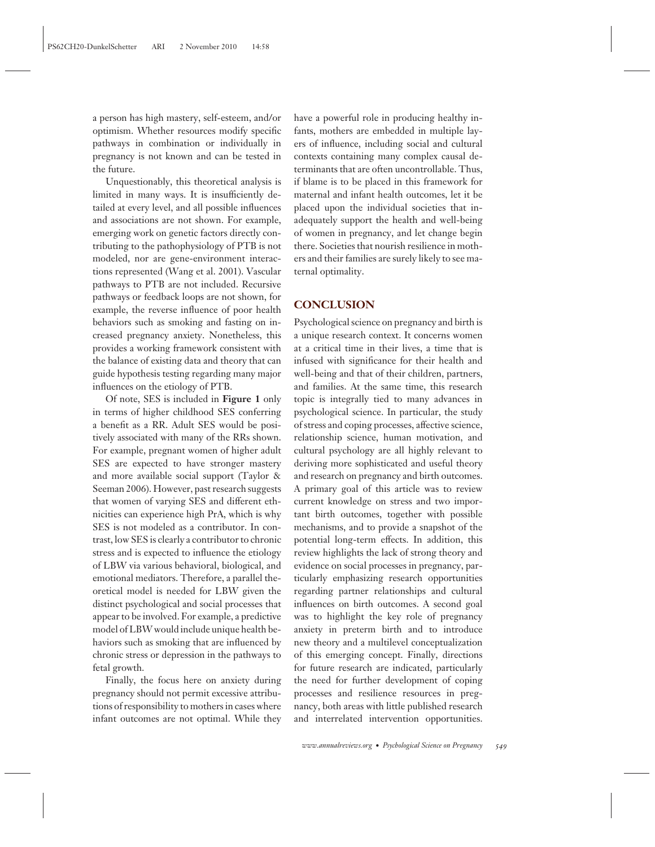a person has high mastery, self-esteem, and/or optimism. Whether resources modify specific pathways in combination or individually in pregnancy is not known and can be tested in the future.

Unquestionably, this theoretical analysis is limited in many ways. It is insufficiently detailed at every level, and all possible influences and associations are not shown. For example, emerging work on genetic factors directly contributing to the pathophysiology of PTB is not modeled, nor are gene-environment interactions represented (Wang et al. 2001). Vascular pathways to PTB are not included. Recursive pathways or feedback loops are not shown, for example, the reverse influence of poor health behaviors such as smoking and fasting on increased pregnancy anxiety. Nonetheless, this provides a working framework consistent with the balance of existing data and theory that can guide hypothesis testing regarding many major influences on the etiology of PTB.

Of note, SES is included in **Figure 1** only in terms of higher childhood SES conferring a benefit as a RR. Adult SES would be positively associated with many of the RRs shown. For example, pregnant women of higher adult SES are expected to have stronger mastery and more available social support (Taylor & Seeman 2006). However, past research suggests that women of varying SES and different ethnicities can experience high PrA, which is why SES is not modeled as a contributor. In contrast, low SES is clearly a contributor to chronic stress and is expected to influence the etiology of LBW via various behavioral, biological, and emotional mediators. Therefore, a parallel theoretical model is needed for LBW given the distinct psychological and social processes that appear to be involved. For example, a predictive model of LBW would include unique health behaviors such as smoking that are influenced by chronic stress or depression in the pathways to fetal growth.

Finally, the focus here on anxiety during pregnancy should not permit excessive attributions of responsibility to mothers in cases where infant outcomes are not optimal. While they

have a powerful role in producing healthy infants, mothers are embedded in multiple layers of influence, including social and cultural contexts containing many complex causal determinants that are often uncontrollable. Thus, if blame is to be placed in this framework for maternal and infant health outcomes, let it be placed upon the individual societies that inadequately support the health and well-being of women in pregnancy, and let change begin there. Societies that nourish resilience in mothers and their families are surely likely to see maternal optimality.

## **CONCLUSION**

Psychological science on pregnancy and birth is a unique research context. It concerns women at a critical time in their lives, a time that is infused with significance for their health and well-being and that of their children, partners, and families. At the same time, this research topic is integrally tied to many advances in psychological science. In particular, the study of stress and coping processes, affective science, relationship science, human motivation, and cultural psychology are all highly relevant to deriving more sophisticated and useful theory and research on pregnancy and birth outcomes. A primary goal of this article was to review current knowledge on stress and two important birth outcomes, together with possible mechanisms, and to provide a snapshot of the potential long-term effects. In addition, this review highlights the lack of strong theory and evidence on social processes in pregnancy, particularly emphasizing research opportunities regarding partner relationships and cultural influences on birth outcomes. A second goal was to highlight the key role of pregnancy anxiety in preterm birth and to introduce new theory and a multilevel conceptualization of this emerging concept. Finally, directions for future research are indicated, particularly the need for further development of coping processes and resilience resources in pregnancy, both areas with little published research and interrelated intervention opportunities.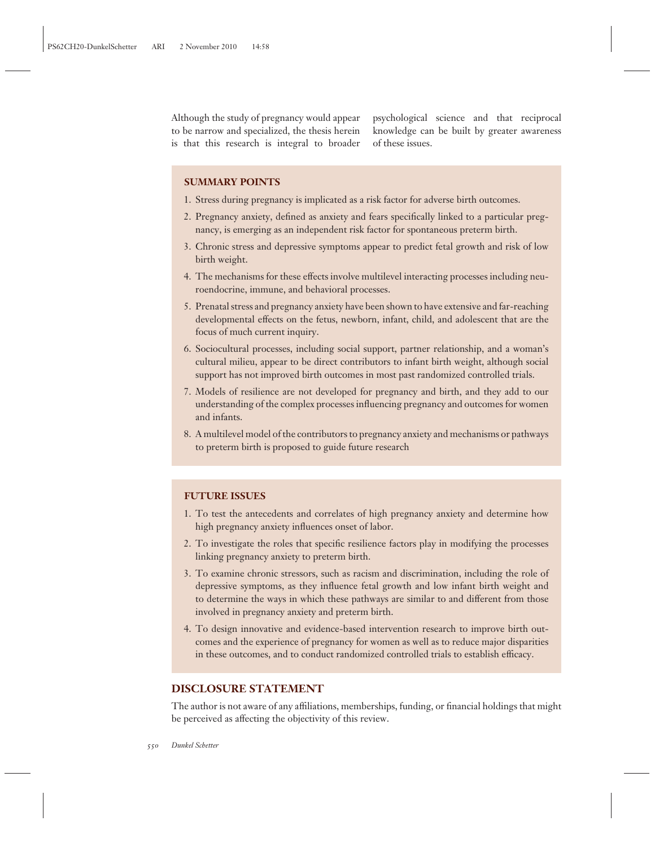Although the study of pregnancy would appear to be narrow and specialized, the thesis herein is that this research is integral to broader

psychological science and that reciprocal knowledge can be built by greater awareness of these issues.

## **SUMMARY POINTS**

- 1. Stress during pregnancy is implicated as a risk factor for adverse birth outcomes.
- 2. Pregnancy anxiety, defined as anxiety and fears specifically linked to a particular pregnancy, is emerging as an independent risk factor for spontaneous preterm birth.
- 3. Chronic stress and depressive symptoms appear to predict fetal growth and risk of low birth weight.
- 4. The mechanisms for these effects involve multilevel interacting processes including neuroendocrine, immune, and behavioral processes.
- 5. Prenatal stress and pregnancy anxiety have been shown to have extensive and far-reaching developmental effects on the fetus, newborn, infant, child, and adolescent that are the focus of much current inquiry.
- 6. Sociocultural processes, including social support, partner relationship, and a woman's cultural milieu, appear to be direct contributors to infant birth weight, although social support has not improved birth outcomes in most past randomized controlled trials.
- 7. Models of resilience are not developed for pregnancy and birth, and they add to our understanding of the complex processes influencing pregnancy and outcomes for women and infants.
- 8. A multilevel model of the contributors to pregnancy anxiety and mechanisms or pathways to preterm birth is proposed to guide future research

#### **FUTURE ISSUES**

- 1. To test the antecedents and correlates of high pregnancy anxiety and determine how high pregnancy anxiety influences onset of labor.
- 2. To investigate the roles that specific resilience factors play in modifying the processes linking pregnancy anxiety to preterm birth.
- 3. To examine chronic stressors, such as racism and discrimination, including the role of depressive symptoms, as they influence fetal growth and low infant birth weight and to determine the ways in which these pathways are similar to and different from those involved in pregnancy anxiety and preterm birth.
- 4. To design innovative and evidence-based intervention research to improve birth outcomes and the experience of pregnancy for women as well as to reduce major disparities in these outcomes, and to conduct randomized controlled trials to establish efficacy.

## **DISCLOSURE STATEMENT**

The author is not aware of any affiliations, memberships, funding, or financial holdings that might be perceived as affecting the objectivity of this review.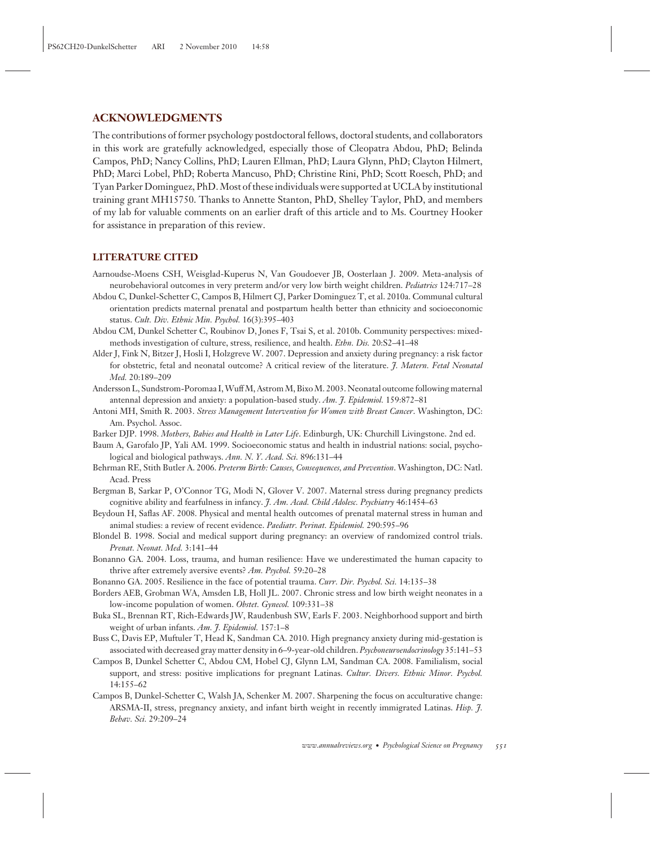#### **ACKNOWLEDGMENTS**

The contributions of former psychology postdoctoral fellows, doctoral students, and collaborators in this work are gratefully acknowledged, especially those of Cleopatra Abdou, PhD; Belinda Campos, PhD; Nancy Collins, PhD; Lauren Ellman, PhD; Laura Glynn, PhD; Clayton Hilmert, PhD; Marci Lobel, PhD; Roberta Mancuso, PhD; Christine Rini, PhD; Scott Roesch, PhD; and Tyan Parker Dominguez, PhD. Most of these individuals were supported at UCLA by institutional training grant MH15750. Thanks to Annette Stanton, PhD, Shelley Taylor, PhD, and members of my lab for valuable comments on an earlier draft of this article and to Ms. Courtney Hooker for assistance in preparation of this review.

#### **LITERATURE CITED**

- Aarnoudse-Moens CSH, Weisglad-Kuperus N, Van Goudoever JB, Oosterlaan J. 2009. Meta-analysis of neurobehavioral outcomes in very preterm and/or very low birth weight children. *Pediatrics* 124:717–28
- Abdou C, Dunkel-Schetter C, Campos B, Hilmert CJ, Parker Dominguez T, et al. 2010a. Communal cultural orientation predicts maternal prenatal and postpartum health better than ethnicity and socioeconomic status. *Cult. Div. Ethnic Min. Psychol.* 16(3):395–403
- Abdou CM, Dunkel Schetter C, Roubinov D, Jones F, Tsai S, et al. 2010b. Community perspectives: mixedmethods investigation of culture, stress, resilience, and health. *Ethn. Dis.* 20:S2–41–48
- Alder J, Fink N, Bitzer J, Hosli I, Holzgreve W. 2007. Depression and anxiety during pregnancy: a risk factor for obstetric, fetal and neonatal outcome? A critical review of the literature. *J. Matern. Fetal Neonatal Med.* 20:189–209
- Andersson L, Sundstrom-Poromaa I,Wuff M, Astrom M, Bixo M. 2003. Neonatal outcome following maternal antennal depression and anxiety: a population-based study. *Am. J. Epidemiol.* 159:872–81
- Antoni MH, Smith R. 2003. *Stress Management Intervention for Women with Breast Cancer*. Washington, DC: Am. Psychol. Assoc.

Barker DJP. 1998. *Mothers, Babies and Health in Later Life*. Edinburgh, UK: Churchill Livingstone. 2nd ed.

- Baum A, Garofalo JP, Yali AM. 1999. Socioeconomic status and health in industrial nations: social, psychological and biological pathways. *Ann. N. Y. Acad. Sci.* 896:131–44
- Behrman RE, Stith Butler A. 2006. *Preterm Birth: Causes, Consequences, and Prevention*. Washington, DC: Natl. Acad. Press
- Bergman B, Sarkar P, O'Connor TG, Modi N, Glover V. 2007. Maternal stress during pregnancy predicts cognitive ability and fearfulness in infancy. *J. Am. Acad. Child Adolesc. Psychiatry* 46:1454–63
- Beydoun H, Saflas AF. 2008. Physical and mental health outcomes of prenatal maternal stress in human and animal studies: a review of recent evidence. *Paediatr. Perinat. Epidemiol.* 290:595–96
- Blondel B. 1998. Social and medical support during pregnancy: an overview of randomized control trials. *Prenat. Neonat. Med.* 3:141–44
- Bonanno GA. 2004. Loss, trauma, and human resilience: Have we underestimated the human capacity to thrive after extremely aversive events? *Am. Psychol.* 59:20–28

Bonanno GA. 2005. Resilience in the face of potential trauma. *Curr. Dir. Psychol. Sci.* 14:135–38

Borders AEB, Grobman WA, Amsden LB, Holl JL. 2007. Chronic stress and low birth weight neonates in a low-income population of women. *Obstet. Gynecol.* 109:331–38

- Buka SL, Brennan RT, Rich-Edwards JW, Raudenbush SW, Earls F. 2003. Neighborhood support and birth weight of urban infants. *Am. J. Epidemiol.* 157:1–8
- Buss C, Davis EP, Muftuler T, Head K, Sandman CA. 2010. High pregnancy anxiety during mid-gestation is associated with decreased gray matter density in 6–9-year-old children. *Psychoneuroendocrinology* 35:141–53
- Campos B, Dunkel Schetter C, Abdou CM, Hobel CJ, Glynn LM, Sandman CA. 2008. Familialism, social support, and stress: positive implications for pregnant Latinas. *Cultur. Divers. Ethnic Minor. Psychol.* 14:155–62
- Campos B, Dunkel-Schetter C, Walsh JA, Schenker M. 2007. Sharpening the focus on acculturative change: ARSMA-II, stress, pregnancy anxiety, and infant birth weight in recently immigrated Latinas. *Hisp. J. Behav. Sci.* 29:209–24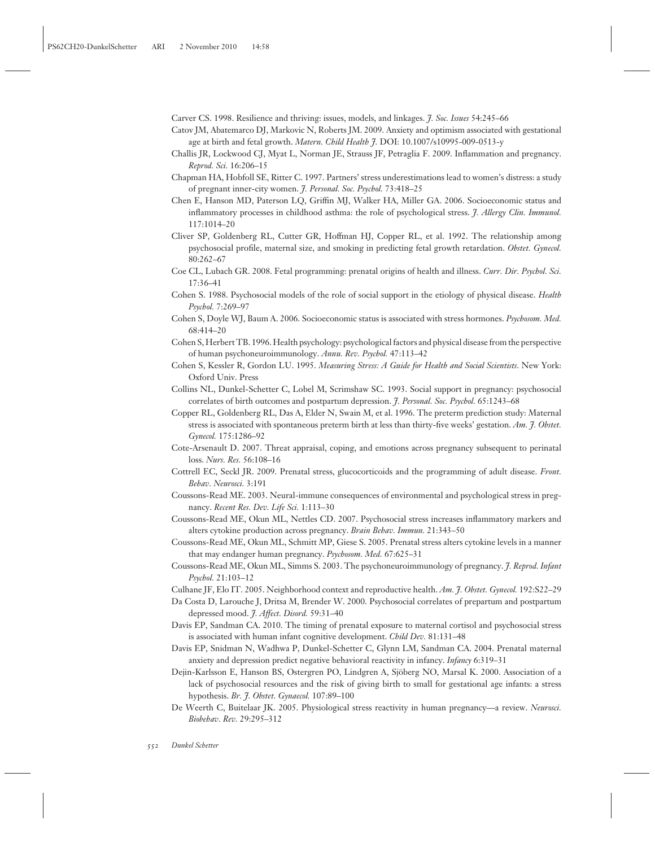Carver CS. 1998. Resilience and thriving: issues, models, and linkages. *J. Soc. Issues* 54:245–66

- Catov JM, Abatemarco DJ, Markovic N, Roberts JM. 2009. Anxiety and optimism associated with gestational age at birth and fetal growth. *Matern. Child Health J.* DOI: 10.1007/s10995-009-0513-y
- Challis JR, Lockwood CJ, Myat L, Norman JE, Strauss JF, Petraglia F. 2009. Inflammation and pregnancy. *Reprod. Sci.* 16:206–15
- Chapman HA, Hobfoll SE, Ritter C. 1997. Partners' stress underestimations lead to women's distress: a study of pregnant inner-city women. *J. Personal. Soc. Psychol.* 73:418–25
- Chen E, Hanson MD, Paterson LQ, Griffin MJ, Walker HA, Miller GA. 2006. Socioeconomic status and inflammatory processes in childhood asthma: the role of psychological stress. *J. Allergy Clin. Immunol.* 117:1014–20
- Cliver SP, Goldenberg RL, Cutter GR, Hoffman HJ, Copper RL, et al. 1992. The relationship among psychosocial profile, maternal size, and smoking in predicting fetal growth retardation. *Obstet. Gynecol.* 80:262–67
- Coe CL, Lubach GR. 2008. Fetal programming: prenatal origins of health and illness. *Curr. Dir. Psychol. Sci.* 17:36–41
- Cohen S. 1988. Psychosocial models of the role of social support in the etiology of physical disease. *Health Psychol.* 7:269–97
- Cohen S, Doyle WJ, Baum A. 2006. Socioeconomic status is associated with stress hormones. *Psychosom. Med.* 68:414–20
- Cohen S, Herbert TB. 1996. Health psychology: psychological factors and physical disease from the perspective of human psychoneuroimmunology. *Annu. Rev. Psychol.* 47:113–42
- Cohen S, Kessler R, Gordon LU. 1995. *Measuring Stress: A Guide for Health and Social Scientists*. New York: Oxford Univ. Press
- Collins NL, Dunkel-Schetter C, Lobel M, Scrimshaw SC. 1993. Social support in pregnancy: psychosocial correlates of birth outcomes and postpartum depression. *J. Personal. Soc. Psychol.* 65:1243–68
- Copper RL, Goldenberg RL, Das A, Elder N, Swain M, et al. 1996. The preterm prediction study: Maternal stress is associated with spontaneous preterm birth at less than thirty-five weeks' gestation. *Am. J. Obstet. Gynecol.* 175:1286–92
- Cote-Arsenault D. 2007. Threat appraisal, coping, and emotions across pregnancy subsequent to perinatal loss. *Nurs. Res.* 56:108–16
- Cottrell EC, Seckl JR. 2009. Prenatal stress, glucocorticoids and the programming of adult disease. *Front. Behav. Neurosci.* 3:191
- Coussons-Read ME. 2003. Neural-immune consequences of environmental and psychological stress in pregnancy. *Recent Res. Dev. Life Sci.* 1:113–30
- Coussons-Read ME, Okun ML, Nettles CD. 2007. Psychosocial stress increases inflammatory markers and alters cytokine production across pregnancy. *Brain Behav. Immun.* 21:343–50
- Coussons-Read ME, Okun ML, Schmitt MP, Giese S. 2005. Prenatal stress alters cytokine levels in a manner that may endanger human pregnancy. *Psychosom. Med.* 67:625–31
- Coussons-Read ME, Okun ML, Simms S. 2003. The psychoneuroimmunology of pregnancy. *J. Reprod. Infant Psychol.* 21:103–12
- Culhane JF, Elo IT. 2005. Neighborhood context and reproductive health. *Am. J. Obstet. Gynecol.* 192:S22–29
- Da Costa D, Larouche J, Dritsa M, Brender W. 2000. Psychosocial correlates of prepartum and postpartum depressed mood. *J. Affect. Disord.* 59:31–40
- Davis EP, Sandman CA. 2010. The timing of prenatal exposure to maternal cortisol and psychosocial stress is associated with human infant cognitive development. *Child Dev.* 81:131–48
- Davis EP, Snidman N, Wadhwa P, Dunkel-Schetter C, Glynn LM, Sandman CA. 2004. Prenatal maternal anxiety and depression predict negative behavioral reactivity in infancy. *Infancy* 6:319–31
- Dejin-Karlsson E, Hanson BS, Ostergren PO, Lindgren A, Sjoberg NO, Marsal K. 2000. Association of a ¨ lack of psychosocial resources and the risk of giving birth to small for gestational age infants: a stress hypothesis. *Br. J. Obstet. Gynaecol.* 107:89–100
- De Weerth C, Buitelaar JK. 2005. Physiological stress reactivity in human pregnancy—a review. *Neurosci. Biobehav. Rev.* 29:295–312

*552 Dunkel Schetter*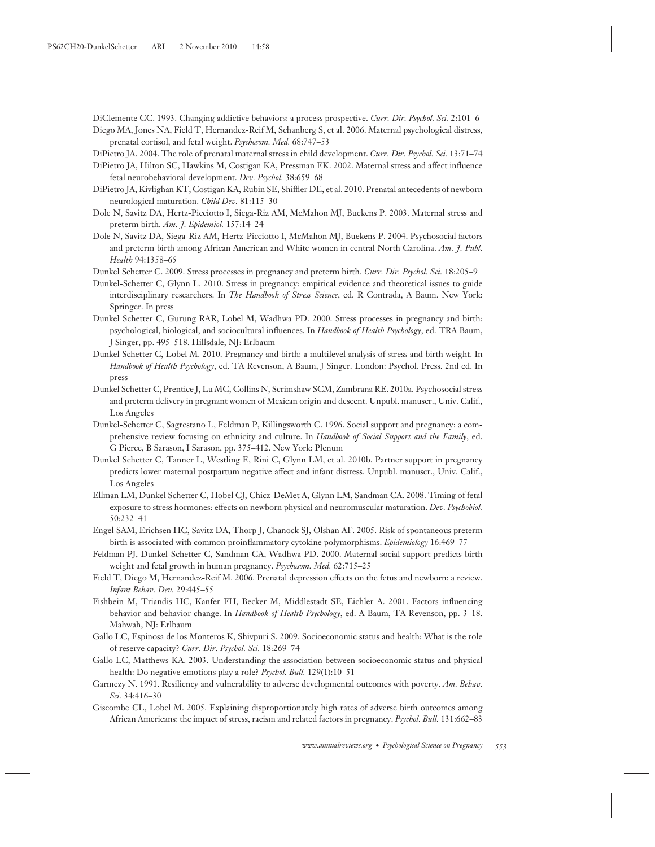DiClemente CC. 1993. Changing addictive behaviors: a process prospective. *Curr. Dir. Psychol. Sci.* 2:101–6 Diego MA, Jones NA, Field T, Hernandez-Reif M, Schanberg S, et al. 2006. Maternal psychological distress, prenatal cortisol, and fetal weight. *Psychosom. Med.* 68:747–53

DiPietro JA. 2004. The role of prenatal maternal stress in child development. *Curr. Dir. Psychol. Sci.* 13:71–74

- DiPietro JA, Hilton SC, Hawkins M, Costigan KA, Pressman EK. 2002. Maternal stress and affect influence fetal neurobehavioral development. *Dev. Psychol.* 38:659–68
- DiPietro JA, Kivlighan KT, Costigan KA, Rubin SE, Shiffler DE, et al. 2010. Prenatal antecedents of newborn neurological maturation. *Child Dev.* 81:115–30
- Dole N, Savitz DA, Hertz-Picciotto I, Siega-Riz AM, McMahon MJ, Buekens P. 2003. Maternal stress and preterm birth. *Am. J. Epidemiol.* 157:14–24
- Dole N, Savitz DA, Siega-Riz AM, Hertz-Picciotto I, McMahon MJ, Buekens P. 2004. Psychosocial factors and preterm birth among African American and White women in central North Carolina. *Am. J. Publ. Health* 94:1358–65
- Dunkel Schetter C. 2009. Stress processes in pregnancy and preterm birth. *Curr. Dir. Psychol. Sci.* 18:205–9
- Dunkel-Schetter C, Glynn L. 2010. Stress in pregnancy: empirical evidence and theoretical issues to guide interdisciplinary researchers. In *The Handbook of Stress Science*, ed. R Contrada, A Baum. New York: Springer. In press
- Dunkel Schetter C, Gurung RAR, Lobel M, Wadhwa PD. 2000. Stress processes in pregnancy and birth: psychological, biological, and sociocultural influences. In *Handbook of Health Psychology*, ed. TRA Baum, J Singer, pp. 495–518. Hillsdale, NJ: Erlbaum
- Dunkel Schetter C, Lobel M. 2010. Pregnancy and birth: a multilevel analysis of stress and birth weight. In *Handbook of Health Psychology*, ed. TA Revenson, A Baum, J Singer. London: Psychol. Press. 2nd ed. In press
- Dunkel Schetter C, Prentice J, Lu MC, Collins N, Scrimshaw SCM, Zambrana RE. 2010a. Psychosocial stress and preterm delivery in pregnant women of Mexican origin and descent. Unpubl. manuscr., Univ. Calif., Los Angeles
- Dunkel-Schetter C, Sagrestano L, Feldman P, Killingsworth C. 1996. Social support and pregnancy: a comprehensive review focusing on ethnicity and culture. In *Handbook of Social Support and the Family*, ed. G Pierce, B Sarason, I Sarason, pp. 375–412. New York: Plenum
- Dunkel Schetter C, Tanner L, Westling E, Rini C, Glynn LM, et al. 2010b. Partner support in pregnancy predicts lower maternal postpartum negative affect and infant distress. Unpubl. manuscr., Univ. Calif., Los Angeles
- Ellman LM, Dunkel Schetter C, Hobel CJ, Chicz-DeMet A, Glynn LM, Sandman CA. 2008. Timing of fetal exposure to stress hormones: effects on newborn physical and neuromuscular maturation. *Dev. Psychobiol.* 50:232–41
- Engel SAM, Erichsen HC, Savitz DA, Thorp J, Chanock SJ, Olshan AF. 2005. Risk of spontaneous preterm birth is associated with common proinflammatory cytokine polymorphisms. *Epidemiology* 16:469–77
- Feldman PJ, Dunkel-Schetter C, Sandman CA, Wadhwa PD. 2000. Maternal social support predicts birth weight and fetal growth in human pregnancy. *Psychosom. Med.* 62:715–25
- Field T, Diego M, Hernandez-Reif M. 2006. Prenatal depression effects on the fetus and newborn: a review. *Infant Behav. Dev.* 29:445–55
- Fishbein M, Triandis HC, Kanfer FH, Becker M, Middlestadt SE, Eichler A. 2001. Factors influencing behavior and behavior change. In *Handbook of Health Psychology*, ed. A Baum, TA Revenson, pp. 3–18. Mahwah, NJ: Erlbaum
- Gallo LC, Espinosa de los Monteros K, Shivpuri S. 2009. Socioeconomic status and health: What is the role of reserve capacity? *Curr. Dir. Psychol. Sci.* 18:269–74
- Gallo LC, Matthews KA. 2003. Understanding the association between socioeconomic status and physical health: Do negative emotions play a role? *Psychol. Bull.* 129(1):10–51
- Garmezy N. 1991. Resiliency and vulnerability to adverse developmental outcomes with poverty. *Am. Behav. Sci.* 34:416–30
- Giscombe CL, Lobel M. 2005. Explaining disproportionately high rates of adverse birth outcomes among African Americans: the impact of stress, racism and related factors in pregnancy. *Psychol. Bull.* 131:662–83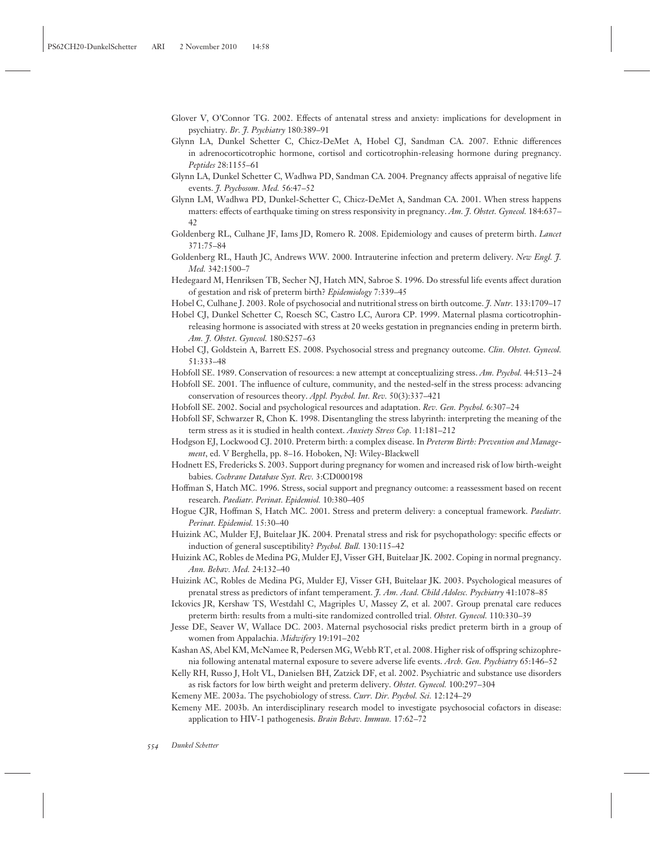- Glover V, O'Connor TG. 2002. Effects of antenatal stress and anxiety: implications for development in psychiatry. *Br. J. Psychiatry* 180:389–91
- Glynn LA, Dunkel Schetter C, Chicz-DeMet A, Hobel CJ, Sandman CA. 2007. Ethnic differences in adrenocorticotrophic hormone, cortisol and corticotrophin-releasing hormone during pregnancy. *Peptides* 28:1155–61
- Glynn LA, Dunkel Schetter C, Wadhwa PD, Sandman CA. 2004. Pregnancy affects appraisal of negative life events. *J. Psychosom. Med.* 56:47–52
- Glynn LM, Wadhwa PD, Dunkel-Schetter C, Chicz-DeMet A, Sandman CA. 2001. When stress happens matters: effects of earthquake timing on stress responsivity in pregnancy. *Am. J. Obstet. Gynecol.* 184:637– 42
- Goldenberg RL, Culhane JF, Iams JD, Romero R. 2008. Epidemiology and causes of preterm birth. *Lancet* 371:75–84
- Goldenberg RL, Hauth JC, Andrews WW. 2000. Intrauterine infection and preterm delivery. *New Engl. J. Med.* 342:1500–7
- Hedegaard M, Henriksen TB, Secher NJ, Hatch MN, Sabroe S. 1996. Do stressful life events affect duration of gestation and risk of preterm birth? *Epidemiology* 7:339–45
- Hobel C, Culhane J. 2003. Role of psychosocial and nutritional stress on birth outcome. *J. Nutr.* 133:1709–17
- Hobel CJ, Dunkel Schetter C, Roesch SC, Castro LC, Aurora CP. 1999. Maternal plasma corticotrophinreleasing hormone is associated with stress at 20 weeks gestation in pregnancies ending in preterm birth. *Am. J. Obstet. Gynecol.* 180:S257–63
- Hobel CJ, Goldstein A, Barrett ES. 2008. Psychosocial stress and pregnancy outcome. *Clin. Obstet. Gynecol.* 51:333–48

Hobfoll SE. 1989. Conservation of resources: a new attempt at conceptualizing stress. *Am. Psychol.* 44:513–24

- Hobfoll SE. 2001. The influence of culture, community, and the nested-self in the stress process: advancing conservation of resources theory. *Appl. Psychol. Int. Rev.* 50(3):337–421
- Hobfoll SE. 2002. Social and psychological resources and adaptation. *Rev. Gen. Psychol.* 6:307–24
- Hobfoll SF, Schwarzer R, Chon K. 1998. Disentangling the stress labyrinth: interpreting the meaning of the term stress as it is studied in health context. *Anxiety Stress Cop.* 11:181–212
- Hodgson EJ, Lockwood CJ. 2010. Preterm birth: a complex disease. In *Preterm Birth: Prevention and Management*, ed. V Berghella, pp. 8–16. Hoboken, NJ: Wiley-Blackwell
- Hodnett ES, Fredericks S. 2003. Support during pregnancy for women and increased risk of low birth-weight babies. *Cochrane Database Syst. Rev.* 3:CD000198
- Hoffman S, Hatch MC. 1996. Stress, social support and pregnancy outcome: a reassessment based on recent research. *Paediatr. Perinat. Epidemiol.* 10:380–405
- Hogue CJR, Hoffman S, Hatch MC. 2001. Stress and preterm delivery: a conceptual framework. *Paediatr. Perinat. Epidemiol.* 15:30–40
- Huizink AC, Mulder EJ, Buitelaar JK. 2004. Prenatal stress and risk for psychopathology: specific effects or induction of general susceptibility? *Psychol. Bull.* 130:115–42
- Huizink AC, Robles de Medina PG, Mulder EJ, Visser GH, Buitelaar JK. 2002. Coping in normal pregnancy. *Ann. Behav. Med.* 24:132–40
- Huizink AC, Robles de Medina PG, Mulder EJ, Visser GH, Buitelaar JK. 2003. Psychological measures of prenatal stress as predictors of infant temperament. *J. Am. Acad. Child Adolesc. Psychiatry* 41:1078–85
- Ickovics JR, Kershaw TS, Westdahl C, Magriples U, Massey Z, et al. 2007. Group prenatal care reduces preterm birth: results from a multi-site randomized controlled trial. *Obstet. Gynecol.* 110:330–39
- Jesse DE, Seaver W, Wallace DC. 2003. Maternal psychosocial risks predict preterm birth in a group of women from Appalachia. *Midwifery* 19:191–202
- Kashan AS, Abel KM, McNamee R, Pedersen MG, Webb RT, et al. 2008. Higher risk of offspring schizophrenia following antenatal maternal exposure to severe adverse life events. *Arch. Gen. Psychiatry* 65:146–52
- Kelly RH, Russo J, Holt VL, Danielsen BH, Zatzick DF, et al. 2002. Psychiatric and substance use disorders as risk factors for low birth weight and preterm delivery. *Obstet. Gynecol.* 100:297–304

Kemeny ME. 2003a. The psychobiology of stress. *Curr. Dir. Psychol. Sci.* 12:124–29

Kemeny ME. 2003b. An interdisciplinary research model to investigate psychosocial cofactors in disease: application to HIV-1 pathogenesis. *Brain Behav. Immun.* 17:62–72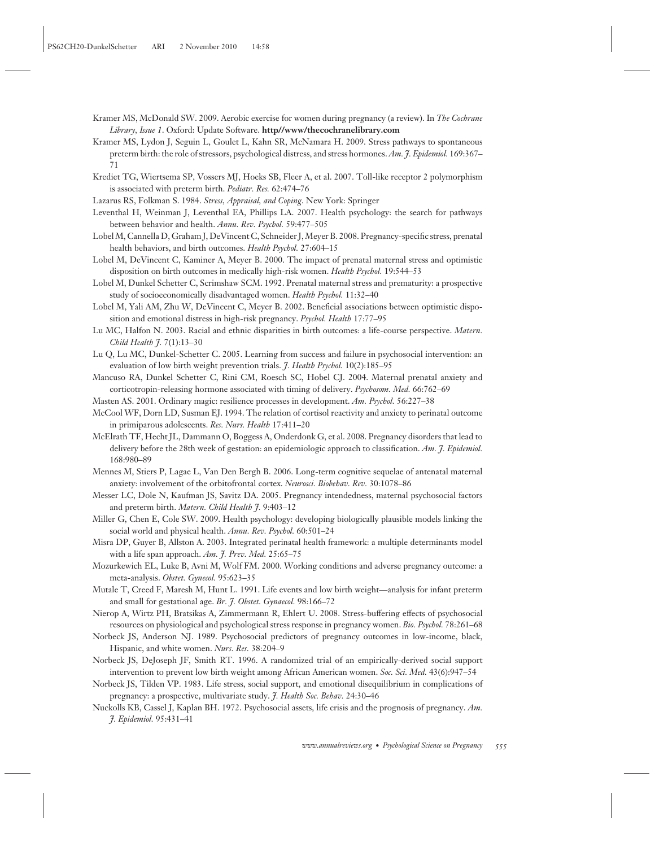Kramer MS, McDonald SW. 2009. Aerobic exercise for women during pregnancy (a review). In *The Cochrane Library, Issue 1*. Oxford: Update Software. **http//www/thecochranelibrary.com**

- Kramer MS, Lydon J, Seguin L, Goulet L, Kahn SR, McNamara H. 2009. Stress pathways to spontaneous preterm birth: the role of stressors, psychological distress, and stress hormones.*Am. J. Epidemiol.* 169:367– 71
- Krediet TG, Wiertsema SP, Vossers MJ, Hoeks SB, Fleer A, et al. 2007. Toll-like receptor 2 polymorphism is associated with preterm birth. *Pediatr. Res.* 62:474–76

Lazarus RS, Folkman S. 1984. *Stress, Appraisal, and Coping*. New York: Springer

- Leventhal H, Weinman J, Leventhal EA, Phillips LA. 2007. Health psychology: the search for pathways between behavior and health. *Annu. Rev. Psychol.* 59:477–505
- Lobel M, Cannella D, Graham J, DeVincent C, Schneider J, Meyer B. 2008. Pregnancy-specific stress, prenatal health behaviors, and birth outcomes. *Health Psychol.* 27:604–15
- Lobel M, DeVincent C, Kaminer A, Meyer B. 2000. The impact of prenatal maternal stress and optimistic disposition on birth outcomes in medically high-risk women. *Health Psychol.* 19:544–53
- Lobel M, Dunkel Schetter C, Scrimshaw SCM. 1992. Prenatal maternal stress and prematurity: a prospective study of socioeconomically disadvantaged women. *Health Psychol.* 11:32–40
- Lobel M, Yali AM, Zhu W, DeVincent C, Meyer B. 2002. Beneficial associations between optimistic disposition and emotional distress in high-risk pregnancy. *Psychol. Health* 17:77–95
- Lu MC, Halfon N. 2003. Racial and ethnic disparities in birth outcomes: a life-course perspective. *Matern. Child Health J.* 7(1):13–30
- Lu Q, Lu MC, Dunkel-Schetter C. 2005. Learning from success and failure in psychosocial intervention: an evaluation of low birth weight prevention trials. *J. Health Psychol.* 10(2):185–95
- Mancuso RA, Dunkel Schetter C, Rini CM, Roesch SC, Hobel CJ. 2004. Maternal prenatal anxiety and corticotropin-releasing hormone associated with timing of delivery. *Psychosom. Med.* 66:762–69
- Masten AS. 2001. Ordinary magic: resilience processes in development. *Am. Psychol.* 56:227–38
- McCool WF, Dorn LD, Susman EJ. 1994. The relation of cortisol reactivity and anxiety to perinatal outcome in primiparous adolescents. *Res. Nurs. Health* 17:411–20
- McElrath TF, Hecht JL, Dammann O, Boggess A, Onderdonk G, et al. 2008. Pregnancy disorders that lead to delivery before the 28th week of gestation: an epidemiologic approach to classification. *Am. J. Epidemiol.* 168:980–89
- Mennes M, Stiers P, Lagae L, Van Den Bergh B. 2006. Long-term cognitive sequelae of antenatal maternal anxiety: involvement of the orbitofrontal cortex. *Neurosci. Biobehav. Rev.* 30:1078–86
- Messer LC, Dole N, Kaufman JS, Savitz DA. 2005. Pregnancy intendedness, maternal psychosocial factors and preterm birth. *Matern. Child Health J.* 9:403–12
- Miller G, Chen E, Cole SW. 2009. Health psychology: developing biologically plausible models linking the social world and physical health. *Annu. Rev. Psychol.* 60:501–24
- Misra DP, Guyer B, Allston A. 2003. Integrated perinatal health framework: a multiple determinants model with a life span approach. *Am. J. Prev. Med.* 25:65–75
- Mozurkewich EL, Luke B, Avni M, Wolf FM. 2000. Working conditions and adverse pregnancy outcome: a meta-analysis. *Obstet. Gynecol.* 95:623–35
- Mutale T, Creed F, Maresh M, Hunt L. 1991. Life events and low birth weight—analysis for infant preterm and small for gestational age. *Br. J. Obstet. Gynaecol.* 98:166–72
- Nierop A, Wirtz PH, Bratsikas A, Zimmermann R, Ehlert U. 2008. Stress-buffering effects of psychosocial resources on physiological and psychological stress response in pregnancy women. *Bio. Psychol.* 78:261–68
- Norbeck JS, Anderson NJ. 1989. Psychosocial predictors of pregnancy outcomes in low-income, black, Hispanic, and white women. *Nurs. Res.* 38:204–9
- Norbeck JS, DeJoseph JF, Smith RT. 1996. A randomized trial of an empirically-derived social support intervention to prevent low birth weight among African American women. *Soc. Sci. Med.* 43(6):947–54
- Norbeck JS, Tilden VP. 1983. Life stress, social support, and emotional disequilibrium in complications of pregnancy: a prospective, multivariate study. *J. Health Soc. Behav.* 24:30–46
- Nuckolls KB, Cassel J, Kaplan BH. 1972. Psychosocial assets, life crisis and the prognosis of pregnancy. *Am. J. Epidemiol.* 95:431–41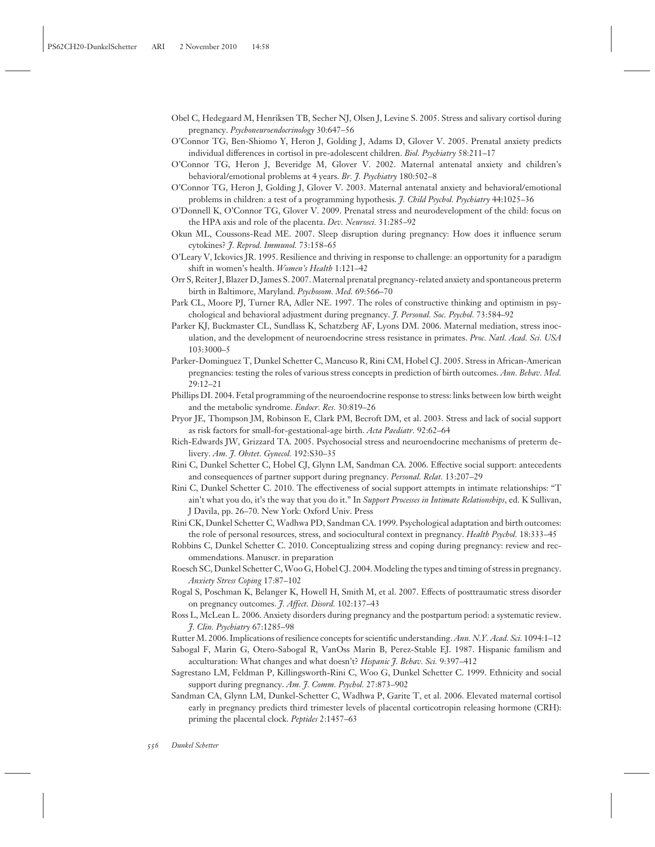- Obel C, Hedegaard M, Henriksen TB, Secher NJ, Olsen J, Levine S. 2005. Stress and salivary cortisol during pregnancy. *Psychoneuroendocrinology* 30:647–56
- O'Connor TG, Ben-Shiomo Y, Heron J, Golding J, Adams D, Glover V. 2005. Prenatal anxiety predicts individual differences in cortisol in pre-adolescent children. *Biol. Psychiatry* 58:211–17
- O'Connor TG, Heron J, Beveridge M, Glover V. 2002. Maternal antenatal anxiety and children's behavioral/emotional problems at 4 years. *Br. J. Psychiatry* 180:502–8
- O'Connor TG, Heron J, Golding J, Glover V. 2003. Maternal antenatal anxiety and behavioral/emotional problems in children: a test of a programming hypothesis. *J. Child Psychol. Psychiatry* 44:1025–36
- O'Donnell K, O'Connor TG, Glover V. 2009. Prenatal stress and neurodevelopment of the child: focus on the HPA axis and role of the placenta. *Dev. Neurosci.* 31:285–92
- Okun ML, Coussons-Read ME. 2007. Sleep disruption during pregnancy: How does it influence serum cytokines? *J. Reprod. Immunol.* 73:158–65
- O'Leary V, Ickovics JR. 1995. Resilience and thriving in response to challenge: an opportunity for a paradigm shift in women's health. *Women's Health* 1:121–42
- Orr S, Reiter J, Blazer D, James S. 2007. Maternal prenatal pregnancy-related anxiety and spontaneous preterm birth in Baltimore, Maryland. *Psychosom. Med.* 69:566–70
- Park CL, Moore PJ, Turner RA, Adler NE. 1997. The roles of constructive thinking and optimism in psychological and behavioral adjustment during pregnancy. *J. Personal. Soc. Psychol.* 73:584–92
- Parker KJ, Buckmaster CL, Sundlass K, Schatzberg AF, Lyons DM. 2006. Maternal mediation, stress inoculation, and the development of neuroendocrine stress resistance in primates. *Proc. Natl. Acad. Sci. USA* 103:3000–5
- Parker-Dominguez T, Dunkel Schetter C, Mancuso R, Rini CM, Hobel CJ. 2005. Stress in African-American pregnancies: testing the roles of various stress concepts in prediction of birth outcomes. *Ann. Behav. Med.* 29:12–21
- Phillips DI. 2004. Fetal programming of the neuroendocrine response to stress: links between low birth weight and the metabolic syndrome. *Endocr. Res.* 30:819–26
- Pryor JE, Thompson JM, Robinson E, Clark PM, Becroft DM, et al. 2003. Stress and lack of social support as risk factors for small-for-gestational-age birth. *Acta Paediatr.* 92:62–64
- Rich-Edwards JW, Grizzard TA. 2005. Psychosocial stress and neuroendocrine mechanisms of preterm delivery. *Am. J. Obstet. Gynecol.* 192:S30–35
- Rini C, Dunkel Schetter C, Hobel CJ, Glynn LM, Sandman CA. 2006. Effective social support: antecedents and consequences of partner support during pregnancy. *Personal. Relat.* 13:207–29
- Rini C, Dunkel Schetter C. 2010. The effectiveness of social support attempts in intimate relationships: "T ain't what you do, it's the way that you do it." In *Support Processes in Intimate Relationships*, ed. K Sullivan, J Davila, pp. 26–70. New York: Oxford Univ. Press
- Rini CK, Dunkel Schetter C, Wadhwa PD, Sandman CA. 1999. Psychological adaptation and birth outcomes: the role of personal resources, stress, and sociocultural context in pregnancy. *Health Psychol.* 18:333–45
- Robbins C, Dunkel Schetter C. 2010. Conceptualizing stress and coping during pregnancy: review and recommendations. Manuscr. in preparation
- Roesch SC, Dunkel Schetter C,Woo G, Hobel CJ. 2004. Modeling the types and timing of stress in pregnancy. *Anxiety Stress Coping* 17:87–102
- Rogal S, Poschman K, Belanger K, Howell H, Smith M, et al. 2007. Effects of posttraumatic stress disorder on pregnancy outcomes. *J. Affect. Disord.* 102:137–43
- Ross L, McLean L. 2006. Anxiety disorders during pregnancy and the postpartum period: a systematic review. *J. Clin. Psychiatry* 67:1285–98
- Rutter M. 2006. Implications of resilience concepts for scientific understanding. *Ann. N.Y. Acad. Sci.* 1094:1–12
- Sabogal F, Marin G, Otero-Sabogal R, VanOss Marin B, Perez-Stable EJ. 1987. Hispanic familism and acculturation: What changes and what doesn't? *Hispanic J. Behav. Sci.* 9:397–412
- Sagrestano LM, Feldman P, Killingsworth-Rini C, Woo G, Dunkel Schetter C. 1999. Ethnicity and social support during pregnancy. *Am. J. Comm. Psychol.* 27:873–902
- Sandman CA, Glynn LM, Dunkel-Schetter C, Wadhwa P, Garite T, et al. 2006. Elevated maternal cortisol early in pregnancy predicts third trimester levels of placental corticotropin releasing hormone (CRH): priming the placental clock. *Peptides* 2:1457–63

*<sup>556</sup> Dunkel Schetter*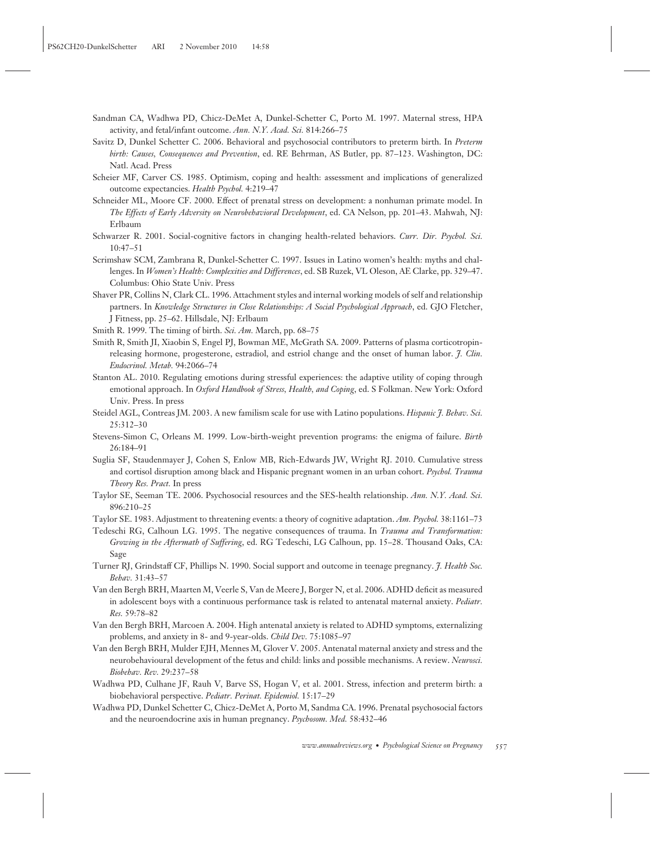- Sandman CA, Wadhwa PD, Chicz-DeMet A, Dunkel-Schetter C, Porto M. 1997. Maternal stress, HPA activity, and fetal/infant outcome. *Ann. N.Y. Acad. Sci.* 814:266–75
- Savitz D, Dunkel Schetter C. 2006. Behavioral and psychosocial contributors to preterm birth. In *Preterm birth: Causes, Consequences and Prevention*, ed. RE Behrman, AS Butler, pp. 87–123. Washington, DC: Natl. Acad. Press
- Scheier MF, Carver CS. 1985. Optimism, coping and health: assessment and implications of generalized outcome expectancies. *Health Psychol.* 4:219–47
- Schneider ML, Moore CF. 2000. Effect of prenatal stress on development: a nonhuman primate model. In *The Effects of Early Adversity on Neurobehavioral Development*, ed. CA Nelson, pp. 201–43. Mahwah, NJ: Erlbaum
- Schwarzer R. 2001. Social-cognitive factors in changing health-related behaviors. *Curr. Dir. Psychol. Sci.* 10:47–51
- Scrimshaw SCM, Zambrana R, Dunkel-Schetter C. 1997. Issues in Latino women's health: myths and challenges. In *Women's Health: Complexities and Differences*, ed. SB Ruzek, VL Oleson, AE Clarke, pp. 329–47. Columbus: Ohio State Univ. Press
- Shaver PR, Collins N, Clark CL. 1996. Attachment styles and internal working models of self and relationship partners. In *Knowledge Structures in Close Relationships: A Social Psychological Approach*, ed. GJO Fletcher, J Fitness, pp. 25–62. Hillsdale, NJ: Erlbaum
- Smith R. 1999. The timing of birth. *Sci. Am.* March, pp. 68–75
- Smith R, Smith JI, Xiaobin S, Engel PJ, Bowman ME, McGrath SA. 2009. Patterns of plasma corticotropinreleasing hormone, progesterone, estradiol, and estriol change and the onset of human labor. *J. Clin. Endocrinol. Metab.* 94:2066–74
- Stanton AL. 2010. Regulating emotions during stressful experiences: the adaptive utility of coping through emotional approach. In *Oxford Handbook of Stress, Health, and Coping*, ed. S Folkman. New York: Oxford Univ. Press. In press
- Steidel AGL, Contreas JM. 2003. A new familism scale for use with Latino populations. *Hispanic J. Behav. Sci.* 25:312–30
- Stevens-Simon C, Orleans M. 1999. Low-birth-weight prevention programs: the enigma of failure. *Birth* 26:184–91
- Suglia SF, Staudenmayer J, Cohen S, Enlow MB, Rich-Edwards JW, Wright RJ. 2010. Cumulative stress and cortisol disruption among black and Hispanic pregnant women in an urban cohort. *Psychol. Trauma Theory Res. Pract.* In press
- Taylor SE, Seeman TE. 2006. Psychosocial resources and the SES-health relationship. *Ann. N.Y. Acad. Sci.* 896:210–25
- Taylor SE. 1983. Adjustment to threatening events: a theory of cognitive adaptation. *Am. Psychol.* 38:1161–73
- Tedeschi RG, Calhoun LG. 1995. The negative consequences of trauma. In *Trauma and Transformation: Growing in the Aftermath of Suffering*, ed. RG Tedeschi, LG Calhoun, pp. 15–28. Thousand Oaks, CA: Sage
- Turner RJ, Grindstaff CF, Phillips N. 1990. Social support and outcome in teenage pregnancy. *J. Health Soc. Behav.* 31:43–57
- Van den Bergh BRH, Maarten M, Veerle S, Van de Meere J, Borger N, et al. 2006. ADHD deficit as measured in adolescent boys with a continuous performance task is related to antenatal maternal anxiety. *Pediatr. Res.* 59:78–82
- Van den Bergh BRH, Marcoen A. 2004. High antenatal anxiety is related to ADHD symptoms, externalizing problems, and anxiety in 8- and 9-year-olds. *Child Dev.* 75:1085–97
- Van den Bergh BRH, Mulder EJH, Mennes M, Glover V. 2005. Antenatal maternal anxiety and stress and the neurobehavioural development of the fetus and child: links and possible mechanisms. A review. *Neurosci. Biobehav. Rev.* 29:237–58
- Wadhwa PD, Culhane JF, Rauh V, Barve SS, Hogan V, et al. 2001. Stress, infection and preterm birth: a biobehavioral perspective. *Pediatr. Perinat. Epidemiol.* 15:17–29
- Wadhwa PD, Dunkel Schetter C, Chicz-DeMet A, Porto M, Sandma CA. 1996. Prenatal psychosocial factors and the neuroendocrine axis in human pregnancy. *Psychosom. Med.* 58:432–46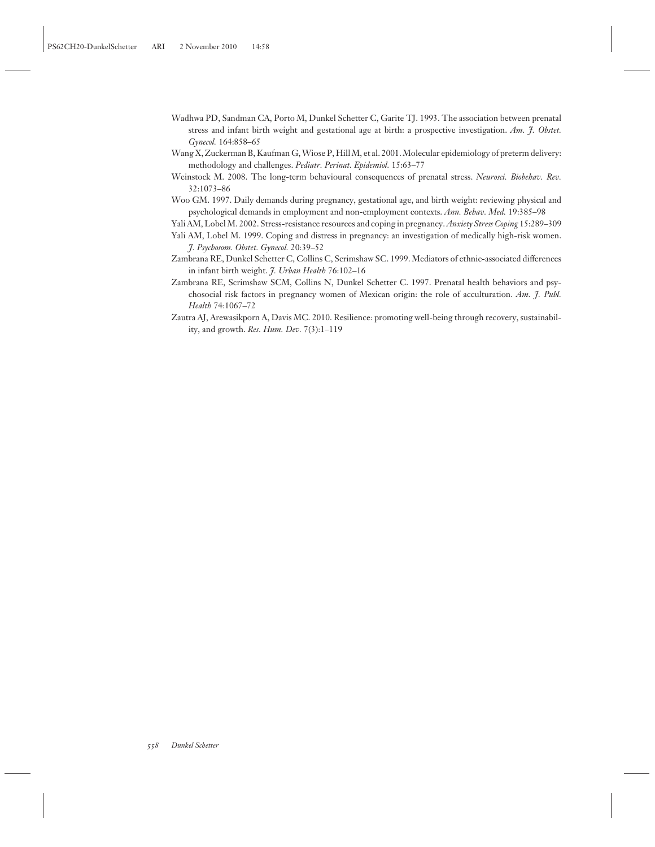- Wadhwa PD, Sandman CA, Porto M, Dunkel Schetter C, Garite TJ. 1993. The association between prenatal stress and infant birth weight and gestational age at birth: a prospective investigation. *Am. J. Obstet. Gynecol.* 164:858–65
- Wang X, Zuckerman B, Kaufman G,Wiose P, Hill M, et al. 2001. Molecular epidemiology of preterm delivery: methodology and challenges. *Pediatr. Perinat. Epidemiol.* 15:63–77
- Weinstock M. 2008. The long-term behavioural consequences of prenatal stress. *Neurosci. Biobehav. Rev.* 32:1073–86
- Woo GM. 1997. Daily demands during pregnancy, gestational age, and birth weight: reviewing physical and psychological demands in employment and non-employment contexts. *Ann. Behav. Med.* 19:385–98
- Yali AM, Lobel M. 2002. Stress-resistance resources and coping in pregnancy.*Anxiety Stress Coping* 15:289–309 Yali AM, Lobel M. 1999. Coping and distress in pregnancy: an investigation of medically high-risk women. *J. Psychosom. Obstet. Gynecol.* 20:39–52
- Zambrana RE, Dunkel Schetter C, Collins C, Scrimshaw SC. 1999. Mediators of ethnic-associated differences in infant birth weight. *J. Urban Health* 76:102–16
- Zambrana RE, Scrimshaw SCM, Collins N, Dunkel Schetter C. 1997. Prenatal health behaviors and psychosocial risk factors in pregnancy women of Mexican origin: the role of acculturation. *Am. J. Publ. Health* 74:1067–72
- Zautra AJ, Arewasikporn A, Davis MC. 2010. Resilience: promoting well-being through recovery, sustainability, and growth. *Res. Hum. Dev.* 7(3):1–119